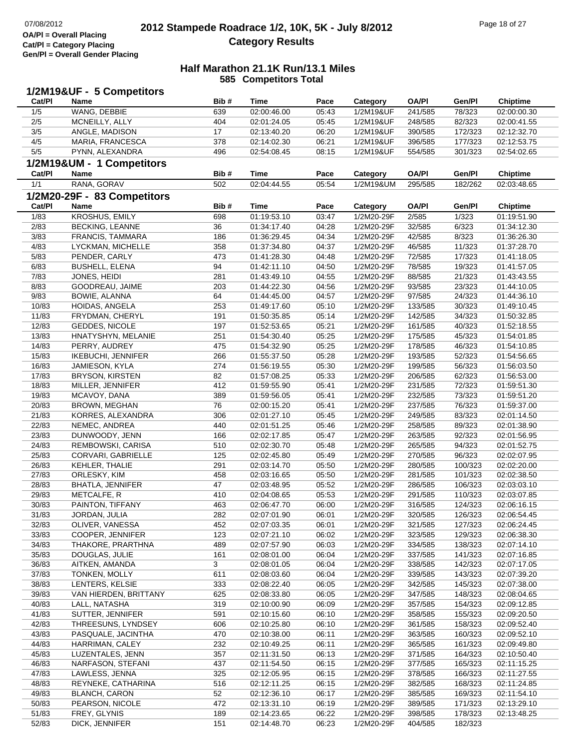### **2012 Stampede Roadrace 1/2, 10K, 5K - July 8/2012** 07/08/2012 Page 18 of 27 **Category Results**

|        | 1/2M19&UF - 5 Competitors   |      |             |       |            |              |         |                 |
|--------|-----------------------------|------|-------------|-------|------------|--------------|---------|-----------------|
| Cat/PI | Name                        | Bib# | Time        | Pace  | Category   | <b>OA/PI</b> | Gen/Pl  | <b>Chiptime</b> |
| 1/5    | WANG, DEBBIE                | 639  | 02:00:46.00 | 05:43 | 1/2M19&UF  | 241/585      | 78/323  | 02:00:00.30     |
| 2/5    | MCNEILLY, ALLY              | 404  | 02:01:24.05 | 05:45 | 1/2M19&UF  | 248/585      | 82/323  | 02:00:41.55     |
| $3/5$  | ANGLE, MADISON              | 17   | 02:13:40.20 | 06:20 | 1/2M19&UF  | 390/585      | 172/323 | 02:12:32.70     |
| 4/5    | MARIA, FRANCESCA            | 378  | 02:14:02.30 | 06:21 | 1/2M19&UF  | 396/585      | 177/323 | 02:12:53.75     |
| 5/5    | PYNN, ALEXANDRA             | 496  | 02:54:08.45 | 08:15 | 1/2M19&UF  | 554/585      | 301/323 | 02:54:02.65     |
|        |                             |      |             |       |            |              |         |                 |
|        | 1/2M19&UM - 1 Competitors   |      |             |       |            |              |         |                 |
| Cat/Pl | Name                        | Bib# | Time        | Pace  | Category   | <b>OA/PI</b> | Gen/Pl  | <b>Chiptime</b> |
| 1/1    | RANA, GORAV                 | 502  | 02:04:44.55 | 05:54 | 1/2M19&UM  | 295/585      | 182/262 | 02:03:48.65     |
|        | 1/2M20-29F - 83 Competitors |      |             |       |            |              |         |                 |
| Cat/PI | Name                        | Bib# | Time        | Pace  | Category   | <b>OA/PI</b> | Gen/Pl  | <b>Chiptime</b> |
| 1/83   | KROSHUS, EMILY              | 698  | 01:19:53.10 | 03:47 | 1/2M20-29F | 2/585        | 1/323   | 01:19:51.90     |
| 2/83   | <b>BECKING, LEANNE</b>      | 36   | 01:34:17.40 | 04:28 | 1/2M20-29F | 32/585       | 6/323   | 01:34:12.30     |
| 3/83   | FRANCIS, TAMMARA            | 186  | 01:36:29.45 | 04:34 | 1/2M20-29F | 42/585       | 8/323   | 01:36:26.30     |
| 4/83   | LYCKMAN, MICHELLE           | 358  | 01:37:34.80 | 04:37 | 1/2M20-29F | 46/585       | 11/323  | 01:37:28.70     |
| 5/83   | PENDER, CARLY               | 473  | 01:41:28.30 | 04:48 | 1/2M20-29F | 72/585       | 17/323  | 01:41:18.05     |
| 6/83   | <b>BUSHELL, ELENA</b>       | 94   | 01:42:11.10 | 04:50 | 1/2M20-29F | 78/585       | 19/323  | 01:41:57.05     |
| 7/83   | JONES, HEIDI                | 281  | 01:43:49.10 | 04:55 | 1/2M20-29F | 88/585       | 21/323  | 01:43:43.55     |
| 8/83   | GOODREAU, JAIME             | 203  | 01:44:22.30 | 04:56 | 1/2M20-29F | 93/585       | 23/323  | 01:44:10.05     |
|        |                             |      |             |       |            |              |         |                 |
| 9/83   | BOWIE, ALANNA               | 64   | 01:44:45.00 | 04:57 | 1/2M20-29F | 97/585       | 24/323  | 01:44:36.10     |
| 10/83  | HOIDAS, ANGELA              | 253  | 01:49:17.60 | 05:10 | 1/2M20-29F | 133/585      | 30/323  | 01:49:10.45     |
| 11/83  | FRYDMAN, CHERYL             | 191  | 01:50:35.85 | 05:14 | 1/2M20-29F | 142/585      | 34/323  | 01:50:32.85     |
| 12/83  | GEDDES, NICOLE              | 197  | 01:52:53.65 | 05:21 | 1/2M20-29F | 161/585      | 40/323  | 01:52:18.55     |
| 13/83  | HNATYSHYN, MELANIE          | 251  | 01:54:30.40 | 05:25 | 1/2M20-29F | 175/585      | 45/323  | 01:54:01.85     |
| 14/83  | PERRY, AUDREY               | 475  | 01:54:32.90 | 05:25 | 1/2M20-29F | 178/585      | 46/323  | 01:54:10.85     |
| 15/83  | <b>IKEBUCHI, JENNIFER</b>   | 266  | 01:55:37.50 | 05:28 | 1/2M20-29F | 193/585      | 52/323  | 01:54:56.65     |
| 16/83  | JAMIESON, KYLA              | 274  | 01:56:19.55 | 05:30 | 1/2M20-29F | 199/585      | 56/323  | 01:56:03.50     |
| 17/83  | <b>BRYSON, KIRSTEN</b>      | 82   | 01:57:08.25 | 05:33 | 1/2M20-29F | 206/585      | 62/323  | 01:56:53.00     |
| 18/83  | MILLER, JENNIFER            | 412  | 01:59:55.90 | 05:41 | 1/2M20-29F | 231/585      | 72/323  | 01:59:51.30     |
| 19/83  | MCAVOY, DANA                | 389  | 01:59:56.05 | 05:41 | 1/2M20-29F | 232/585      | 73/323  | 01:59:51.20     |
| 20/83  | BROWN, MEGHAN               | 76   | 02:00:15.20 | 05:41 | 1/2M20-29F | 237/585      | 76/323  | 01:59:37.00     |
| 21/83  | KORRES, ALEXANDRA           | 306  | 02:01:27.10 | 05:45 | 1/2M20-29F | 249/585      | 83/323  | 02:01:14.50     |
| 22/83  | NEMEC, ANDREA               | 440  | 02:01:51.25 | 05:46 | 1/2M20-29F | 258/585      | 89/323  | 02:01:38.90     |
| 23/83  | DUNWOODY, JENN              | 166  | 02:02:17.85 | 05:47 | 1/2M20-29F | 263/585      | 92/323  | 02:01:56.95     |
| 24/83  | REMBOWSKI, CARISA           | 510  | 02:02:30.70 | 05:48 | 1/2M20-29F | 265/585      | 94/323  | 02:01:52.75     |
| 25/83  | CORVARI, GABRIELLE          | 125  | 02:02:45.80 | 05:49 | 1/2M20-29F | 270/585      | 96/323  | 02:02:07.95     |
| 26/83  | KEHLER, THALIE              | 291  | 02:03:14.70 | 05:50 | 1/2M20-29F | 280/585      | 100/323 | 02:02:20.00     |
| 27/83  | ORLESKY, KIM                | 458  | 02:03:16.65 | 05:50 | 1/2M20-29F | 281/585      | 101/323 | 02:02:38.50     |
| 28/83  | <b>BHATLA, JENNIFER</b>     | 47   | 02:03:48.95 | 05:52 | 1/2M20-29F | 286/585      | 106/323 | 02:03:03.10     |
|        |                             |      | 02:04:08.65 |       |            |              |         |                 |
| 29/83  | METCALFE, R                 | 410  |             | 05:53 | 1/2M20-29F | 291/585      | 110/323 | 02:03:07.85     |
| 30/83  | PAINTON, TIFFANY            | 463  | 02:06:47.70 | 06:00 | 1/2M20-29F | 316/585      | 124/323 | 02:06:16.15     |
| 31/83  | JORDAN, JULIA               | 282  | 02:07:01.90 | 06:01 | 1/2M20-29F | 320/585      | 126/323 | 02:06:54.45     |
| 32/83  | OLIVER, VANESSA             | 452  | 02:07:03.35 | 06:01 | 1/2M20-29F | 321/585      | 127/323 | 02:06:24.45     |
| 33/83  | COOPER, JENNIFER            | 123  | 02:07:21.10 | 06:02 | 1/2M20-29F | 323/585      | 129/323 | 02:06:38.30     |
| 34/83  | THAKORE, PRARTHNA           | 489  | 02:07:57.90 | 06:03 | 1/2M20-29F | 334/585      | 138/323 | 02:07:14.10     |
| 35/83  | DOUGLAS, JULIE              | 161  | 02:08:01.00 | 06:04 | 1/2M20-29F | 337/585      | 141/323 | 02:07:16.85     |
| 36/83  | AITKEN, AMANDA              | 3    | 02:08:01.05 | 06:04 | 1/2M20-29F | 338/585      | 142/323 | 02:07:17.05     |
| 37/83  | TONKEN, MOLLY               | 611  | 02:08:03.60 | 06:04 | 1/2M20-29F | 339/585      | 143/323 | 02:07:39.20     |
| 38/83  | LENTERS, KELSIE             | 333  | 02:08:22.40 | 06:05 | 1/2M20-29F | 342/585      | 145/323 | 02:07:38.00     |
| 39/83  | VAN HIERDEN, BRITTANY       | 625  | 02:08:33.80 | 06:05 | 1/2M20-29F | 347/585      | 148/323 | 02:08:04.65     |
| 40/83  | LALL, NATASHA               | 319  | 02:10:00.90 | 06:09 | 1/2M20-29F | 357/585      | 154/323 | 02:09:12.85     |
| 41/83  | SUTTER, JENNIFER            | 591  | 02:10:15.60 | 06:10 | 1/2M20-29F | 358/585      | 155/323 | 02:09:20.50     |
| 42/83  | THREESUNS, LYNDSEY          | 606  | 02:10:25.80 | 06:10 | 1/2M20-29F | 361/585      | 158/323 | 02:09:52.40     |
| 43/83  | PASQUALE, JACINTHA          | 470  | 02:10:38.00 | 06:11 | 1/2M20-29F | 363/585      | 160/323 | 02:09:52.10     |
| 44/83  | HARRIMAN, CALEY             | 232  | 02:10:49.25 | 06:11 | 1/2M20-29F | 365/585      | 161/323 | 02:09:49.80     |
| 45/83  | LUZENTALES, JENN            | 357  | 02:11:31.50 | 06:13 | 1/2M20-29F | 371/585      | 164/323 | 02:10:50.40     |
| 46/83  | NARFASON, STEFANI           | 437  | 02:11:54.50 | 06:15 | 1/2M20-29F | 377/585      | 165/323 | 02:11:15.25     |
| 47/83  | LAWLESS, JENNA              | 325  | 02:12:05.95 | 06:15 | 1/2M20-29F | 378/585      | 166/323 | 02:11:27.55     |
| 48/83  | REYNEKE, CATHARINA          | 516  | 02:12:11.25 | 06:15 | 1/2M20-29F | 382/585      | 168/323 | 02:11:24.85     |
| 49/83  | <b>BLANCH, CARON</b>        | 52   | 02:12:36.10 | 06:17 | 1/2M20-29F | 385/585      | 169/323 | 02:11:54.10     |
| 50/83  | PEARSON, NICOLE             | 472  |             | 06:19 | 1/2M20-29F |              |         |                 |
|        |                             |      | 02:13:31.10 |       |            | 389/585      | 171/323 | 02:13:29.10     |
| 51/83  | FREY, GLYNIS                | 189  | 02:14:23.65 | 06:22 | 1/2M20-29F | 398/585      | 178/323 | 02:13:48.25     |
| 52/83  | DICK, JENNIFER              | 151  | 02:14:48.70 | 06:23 | 1/2M20-29F | 404/585      | 182/323 |                 |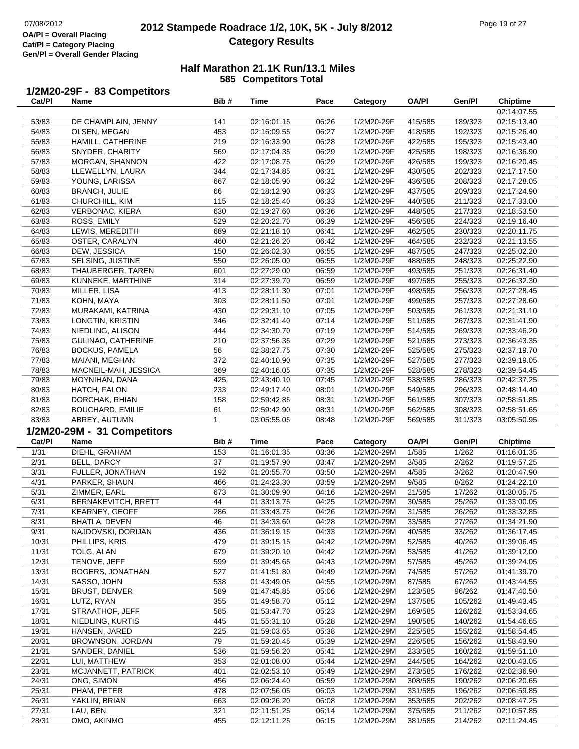## **2012 Stampede Roadrace 1/2, 10K, 5K - July 8/2012** 07/08/2012 Page 19 of 27 **Category Results**

| Cat/PI         | 1/2M20-29F - 83 Competitors<br><b>Name</b> | Bib#         | Time                       | Pace           | Category                 | OA/PI              | Gen/Pl             | Chiptime                   |
|----------------|--------------------------------------------|--------------|----------------------------|----------------|--------------------------|--------------------|--------------------|----------------------------|
|                |                                            |              |                            |                |                          |                    |                    | 02:14:07.55                |
| 53/83          | DE CHAMPLAIN, JENNY                        | 141          | 02:16:01.15                | 06:26          | 1/2M20-29F               | 415/585            | 189/323            | 02:15:13.40                |
| 54/83          | OLSEN, MEGAN                               | 453          | 02:16:09.55                | 06:27          | 1/2M20-29F               | 418/585            | 192/323            | 02:15:26.40                |
| 55/83          | HAMILL, CATHERINE                          | 219          | 02:16:33.90                | 06:28          | 1/2M20-29F               | 422/585            | 195/323            | 02:15:43.40                |
| 56/83          | SNYDER, CHARITY                            | 569          | 02:17:04.35                | 06:29          | 1/2M20-29F               | 425/585            | 198/323            | 02:16:36.90                |
| 57/83          | MORGAN, SHANNON                            | 422          | 02:17:08.75                | 06:29          | 1/2M20-29F               | 426/585            | 199/323            | 02:16:20.45                |
| 58/83          | LLEWELLYN, LAURA                           | 344          | 02:17:34.85                | 06:31          | 1/2M20-29F               | 430/585            | 202/323            | 02:17:17.50                |
| 59/83          | YOUNG, LARISSA                             | 667          | 02:18:05.90                | 06:32          | 1/2M20-29F               | 436/585            | 208/323            | 02:17:28.05                |
| 60/83          | <b>BRANCH, JULIE</b>                       | 66           | 02:18:12.90                | 06:33          | 1/2M20-29F               | 437/585            | 209/323            | 02:17:24.90                |
| 61/83          | CHURCHILL, KIM                             | 115          | 02:18:25.40                | 06:33          | 1/2M20-29F               | 440/585            | 211/323            | 02:17:33.00                |
| 62/83          | <b>VERBONAC, KIERA</b>                     | 630          | 02:19:27.60                | 06:36          | 1/2M20-29F               | 448/585            | 217/323            | 02:18:53.50                |
| 63/83          | ROSS, EMILY                                | 529          | 02:20:22.70                | 06:39          | 1/2M20-29F               | 456/585            | 224/323            | 02:19:16.40                |
| 64/83          | LEWIS, MEREDITH                            | 689          | 02:21:18.10                | 06:41          | 1/2M20-29F               | 462/585            | 230/323            | 02:20:11.75                |
| 65/83<br>66/83 | OSTER, CARALYN<br>DEW, JESSICA             | 460<br>150   | 02:21:26.20<br>02:26:02.30 | 06:42<br>06:55 | 1/2M20-29F<br>1/2M20-29F | 464/585<br>487/585 | 232/323<br>247/323 | 02:21:13.55<br>02:25:02.20 |
| 67/83          | SELSING, JUSTINE                           | 550          | 02:26:05.00                | 06:55          | 1/2M20-29F               | 488/585            | 248/323            | 02:25:22.90                |
| 68/83          | THAUBERGER, TAREN                          | 601          | 02:27:29.00                | 06:59          | 1/2M20-29F               | 493/585            | 251/323            | 02:26:31.40                |
| 69/83          | KUNNEKE, MARTHINE                          | 314          | 02:27:39.70                | 06:59          | 1/2M20-29F               | 497/585            | 255/323            | 02:26:32.30                |
| 70/83          | MILLER, LISA                               | 413          | 02:28:11.30                | 07:01          | 1/2M20-29F               | 498/585            | 256/323            | 02:27:28.45                |
| 71/83          | KOHN, MAYA                                 | 303          | 02:28:11.50                | 07:01          | 1/2M20-29F               | 499/585            | 257/323            | 02:27:28.60                |
| 72/83          | MURAKAMI, KATRINA                          | 430          | 02:29:31.10                | 07:05          | 1/2M20-29F               | 503/585            | 261/323            | 02:21:31.10                |
| 73/83          | LONGTIN, KRISTIN                           | 346          | 02:32:41.40                | 07:14          | 1/2M20-29F               | 511/585            | 267/323            | 02:31:41.90                |
| 74/83          | NIEDLING, ALISON                           | 444          | 02:34:30.70                | 07:19          | 1/2M20-29F               | 514/585            | 269/323            | 02:33:46.20                |
| 75/83          | GULINAO, CATHERINE                         | 210          | 02:37:56.35                | 07:29          | 1/2M20-29F               | 521/585            | 273/323            | 02:36:43.35                |
| 76/83          | <b>BOCKUS, PAMELA</b>                      | 56           | 02:38:27.75                | 07:30          | 1/2M20-29F               | 525/585            | 275/323            | 02:37:19.70                |
| 77/83          | MAIANI, MEGHAN                             | 372          | 02:40:10.90                | 07:35          | 1/2M20-29F               | 527/585            | 277/323            | 02:39:19.05                |
| 78/83          | MACNEIL-MAH, JESSICA                       | 369          | 02:40:16.05                | 07:35          | 1/2M20-29F               | 528/585            | 278/323            | 02:39:54.45                |
| 79/83          | MOYNIHAN, DANA                             | 425          | 02:43:40.10                | 07:45          | 1/2M20-29F               | 538/585            | 286/323            | 02:42:37.25                |
| 80/83<br>81/83 | HATCH, FALON<br>DORCHAK, RHIAN             | 233<br>158   | 02:49:17.40<br>02:59:42.85 | 08:01<br>08:31 | 1/2M20-29F<br>1/2M20-29F | 549/585<br>561/585 | 296/323<br>307/323 | 02:48:14.40<br>02:58:51.85 |
| 82/83          | <b>BOUCHARD, EMILIE</b>                    | 61           | 02:59:42.90                | 08:31          | 1/2M20-29F               | 562/585            | 308/323            | 02:58:51.65                |
| 83/83          | ABREY, AUTUMN                              | $\mathbf{1}$ | 03:05:55.05                | 08:48          | 1/2M20-29F               | 569/585            | 311/323            | 03:05:50.95                |
|                | 1/2M20-29M - 31 Competitors                |              |                            |                |                          |                    |                    |                            |
| Cat/PI         | Name                                       | Bib#         | <b>Time</b>                | Pace           | Category                 | <b>OA/PI</b>       | Gen/Pl             | <b>Chiptime</b>            |
| 1/31           | DIEHL, GRAHAM                              | 153          | 01:16:01.35                | 03:36          | 1/2M20-29M               | 1/585              | 1/262              | 01:16:01.35                |
| 2/31           | BELL, DARCY                                | 37           | 01:19:57.90                | 03:47          | 1/2M20-29M               | 3/585              | 2/262              | 01:19:57.25                |
| 3/31           | FULLER, JONATHAN                           | 192          | 01:20:55.70                | 03:50          | 1/2M20-29M               | 4/585              | 3/262              | 01:20:47.90                |
| 4/31           | PARKER, SHAUN                              | 466          | 01:24:23.30                | 03:59          | 1/2M20-29M               | 9/585              | 8/262              | 01:24:22.10                |
| 5/31           | ZIMMER, EARL                               | 673          | 01:30:09.90                | 04:16          | 1/2M20-29M               | 21/585             | 17/262             | 01:30:05.75                |
| 6/31           | <b>BERNAKEVITCH, BRETT</b>                 | 44           | 01:33:13.75                | 04:25          | 1/2M20-29M               | 30/585             | 25/262             | 01:33:00.05                |
| 7/31           | KEARNEY, GEOFF                             | 286          | 01:33:43.75                | 04:26          | 1/2M20-29M               | 31/585             | 26/262             | 01:33:32.85                |
| 8/31           | BHATLA, DEVEN                              | 46           | 01:34:33.60                | 04:28          | 1/2M20-29M               | 33/585             | 27/262             | 01:34:21.90                |
| 9/31           | NAJDOVSKI, DORIJAN                         | 436          | 01:36:19.15                | 04:33          | 1/2M20-29M               | 40/585             | 33/262             | 01:36:17.45                |
| 10/31          | PHILLIPS, KRIS                             | 479          | 01:39:15.15                | 04:42          | 1/2M20-29M               | 52/585             | 40/262             | 01:39:06.45                |
| 11/31          | TOLG, ALAN                                 | 679          | 01:39:20.10                | 04:42          | 1/2M20-29M               | 53/585             | 41/262             | 01:39:12.00                |
| 12/31          | TENOVE, JEFF                               | 599          | 01:39:45.65                | 04:43          | 1/2M20-29M               | 57/585             | 45/262             | 01:39:24.05                |
| 13/31<br>14/31 | ROGERS, JONATHAN<br>SASSO, JOHN            | 527<br>538   | 01:41:51.80<br>01:43:49.05 | 04:49<br>04:55 | 1/2M20-29M<br>1/2M20-29M | 74/585<br>87/585   | 57/262<br>67/262   | 01:41:39.70<br>01:43:44.55 |
| 15/31          | <b>BRUST, DENVER</b>                       | 589          | 01:47:45.85                | 05:06          | 1/2M20-29M               | 123/585            | 96/262             | 01:47:40.50                |
| 16/31          | LUTZ, RYAN                                 | 355          | 01:49:58.70                | 05:12          | 1/2M20-29M               | 137/585            | 105/262            | 01:49:43.45                |
| 17/31          | STRAATHOF, JEFF                            | 585          | 01:53:47.70                | 05:23          | 1/2M20-29M               | 169/585            | 126/262            | 01:53:34.65                |
| 18/31          | NIEDLING, KURTIS                           | 445          | 01:55:31.10                | 05:28          | 1/2M20-29M               | 190/585            | 140/262            | 01:54:46.65                |
| 19/31          | HANSEN, JARED                              | 225          | 01:59:03.65                | 05:38          | 1/2M20-29M               | 225/585            | 155/262            | 01:58:54.45                |
| 20/31          | BROWNSON, JORDAN                           | 79           | 01:59:20.45                | 05:39          | 1/2M20-29M               | 226/585            | 156/262            | 01:58:43.90                |
| 21/31          | SANDER, DANIEL                             | 536          | 01:59:56.20                | 05:41          | 1/2M20-29M               | 233/585            | 160/262            | 01:59:51.10                |
| 22/31          | LUI, MATTHEW                               | 353          | 02:01:08.00                | 05:44          | 1/2M20-29M               | 244/585            | 164/262            | 02:00:43.05                |
| 23/31          | MCJANNETT, PATRICK                         | 401          | 02:02:53.10                | 05:49          | 1/2M20-29M               | 273/585            | 176/262            | 02:02:36.90                |
| 24/31          | ONG, SIMON                                 | 456          | 02:06:24.40                | 05:59          | 1/2M20-29M               | 308/585            | 190/262            | 02:06:20.65                |
| 25/31          | PHAM, PETER                                | 478          | 02:07:56.05                | 06:03          | 1/2M20-29M               | 331/585            | 196/262            | 02:06:59.85                |
| 26/31          | YAKLIN, BRIAN                              | 663          | 02:09:26.20                | 06:08          | 1/2M20-29M               | 353/585            | 202/262            | 02:08:47.25                |
| 27/31<br>28/31 | LAU, BEN                                   | 321          | 02:11:51.25                | 06:14          | 1/2M20-29M               | 375/585            | 211/262            | 02:10:57.85                |
|                | OMO, AKINMO                                | 455          | 02:12:11.25                | 06:15          | 1/2M20-29M               | 381/585            | 214/262            | 02:11:24.45                |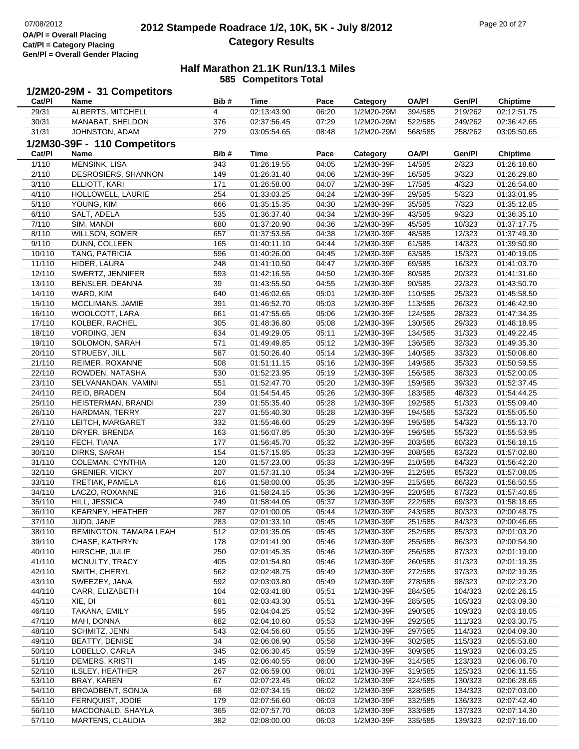## **2012 Stampede Roadrace 1/2, 10K, 5K - July 8/2012** 07/08/2012 Page 20 of 27 **Category Results**

|                  | 1/2M20-29M - 31 Competitors       |            |                            |                |                          |                    |                  |                            |
|------------------|-----------------------------------|------------|----------------------------|----------------|--------------------------|--------------------|------------------|----------------------------|
| Cat/PI           | Name                              | Bib#       | <b>Time</b>                | Pace           | Category                 | <b>OA/PI</b>       | Gen/Pl           | <b>Chiptime</b>            |
| 29/31            | ALBERTS, MITCHELL                 | 4          | 02:13:43.90                | 06:20          | 1/2M20-29M               | 394/585            | 219/262          | 02:12:51.75                |
| 30/31            | MANABAT, SHELDON                  | 376        | 02:37:56.45                | 07:29          | 1/2M20-29M               | 522/585            | 249/262          | 02:36:42.65                |
| 31/31            | JOHNSTON, ADAM                    | 279        | 03:05:54.65                | 08:48          | 1/2M20-29M               | 568/585            | 258/262          | 03:05:50.65                |
|                  | 1/2M30-39F - 110 Competitors      |            |                            |                |                          |                    |                  |                            |
| Cat/PI           | <b>Name</b>                       | Bib#       | <b>Time</b>                | Pace           | Category                 | <b>OA/PI</b>       | Gen/Pl           | <b>Chiptime</b>            |
| 1/110            | MENSINK, LISA                     | 343        | 01:26:19.55                | 04:05          | 1/2M30-39F               | 14/585             | 2/323            | 01:26:18.60                |
| 2/110            | DESROSIERS, SHANNON               | 149        | 01:26:31.40                | 04:06          | 1/2M30-39F               | 16/585             | 3/323            | 01:26:29.80                |
| 3/110            | ELLIOTT, KARI                     | 171        | 01:26:58.00                | 04:07          | 1/2M30-39F               | 17/585             | 4/323            | 01:26:54.80                |
| 4/110            | HOLLOWELL, LAURIE                 | 254        | 01:33:03.25                | 04:24          | 1/2M30-39F               | 29/585             | 5/323            | 01:33:01.95                |
| 5/110            | YOUNG, KIM                        | 666        | 01:35:15.35                | 04:30          | 1/2M30-39F               | 35/585             | 7/323            | 01:35:12.85                |
| 6/110            | SALT, ADELA                       | 535        | 01:36:37.40                | 04:34          | 1/2M30-39F               | 43/585             | 9/323            | 01:36:35.10                |
| 7/110            | SIM, MANDI                        | 680        | 01:37:20.90                | 04:36          | 1/2M30-39F               | 45/585             | 10/323           | 01:37:17.75                |
| 8/110            | <b>WILLSON, SOMER</b>             | 657        | 01:37:53.55                | 04:38          | 1/2M30-39F               | 48/585             | 12/323           | 01:37:49.30                |
| 9/110            | DUNN, COLLEEN                     | 165        | 01:40:11.10                | 04:44          | 1/2M30-39F               | 61/585             | 14/323           | 01:39:50.90                |
| 10/110           | TANG, PATRICIA                    | 596        | 01:40:26.00                | 04:45          | 1/2M30-39F               | 63/585             | 15/323           | 01:40:19.05                |
| 11/110           | HIDER, LAURA                      | 248        | 01:41:10.50                | 04:47          | 1/2M30-39F               | 69/585             | 16/323           | 01:41:03.70                |
| 12/110           | SWERTZ, JENNIFER                  | 593        | 01:42:16.55                | 04:50          | 1/2M30-39F               | 80/585             | 20/323           | 01:41:31.60                |
| 13/110           | BENSLER, DEANNA                   | 39         | 01:43:55.50                | 04:55          | 1/2M30-39F               | 90/585             | 22/323           | 01:43:50.70                |
| 14/110           | WARD, KIM                         | 640        | 01:46:02.65                | 05:01          | 1/2M30-39F               | 110/585            | 25/323           | 01:45:58.50                |
| 15/110           | MCCLIMANS, JAMIE                  | 391        | 01:46:52.70                | 05:03          | 1/2M30-39F               | 113/585            | 26/323           | 01:46:42.90                |
| 16/110           | WOOLCOTT, LARA                    | 661        | 01:47:55.65                | 05:06          | 1/2M30-39F               | 124/585            | 28/323           | 01:47:34.35                |
| 17/110           | KOLBER, RACHEL                    | 305        | 01:48:36.80                | 05:08          | 1/2M30-39F               | 130/585            | 29/323           | 01:48:18.95                |
| 18/110           | VORDING, JEN                      | 634        | 01:49:29.05                | 05:11          | 1/2M30-39F               | 134/585            | 31/323           | 01:49:22.45                |
| 19/110           | SOLOMON, SARAH                    | 571        | 01:49:49.85                | 05:12          | 1/2M30-39F               | 136/585            | 32/323           | 01:49:35.30                |
| 20/110           | STRUEBY, JILL                     | 587        | 01:50:26.40                | 05:14          | 1/2M30-39F               | 140/585            | 33/323           | 01:50:06.80                |
| 21/110           | REIMER, ROXANNE                   | 508        | 01:51:11.15                | 05:16          | 1/2M30-39F               | 149/585            | 35/323           | 01:50:59.55                |
| 22/110           | ROWDEN, NATASHA                   | 530        | 01:52:23.95                | 05:19          | 1/2M30-39F               | 156/585            | 38/323           | 01:52:00.05                |
| 23/110           | SELVANANDAN, VAMINI               | 551        | 01:52:47.70                | 05:20          | 1/2M30-39F               | 159/585            | 39/323           | 01:52:37.45                |
| 24/110           | REID, BRADEN                      | 504        | 01:54:54.45                | 05:26          | 1/2M30-39F               | 183/585            | 48/323           | 01:54:44.25                |
| 25/110           | HEISTERMAN, BRANDI                | 239        | 01:55:35.40                | 05:28          | 1/2M30-39F               | 192/585            | 51/323           | 01:55:09.40                |
| 26/110           | HARDMAN, TERRY                    | 227        | 01:55:40.30                | 05:28          | 1/2M30-39F               | 194/585            | 53/323           | 01:55:05.50                |
| 27/110           | LEITCH, MARGARET                  | 332        | 01:55:46.60                | 05:29          | 1/2M30-39F               | 195/585            | 54/323           | 01:55:13.70                |
| 28/110           | DRYER, BRENDA                     | 163        | 01:56:07.85                | 05:30          | 1/2M30-39F               | 196/585            | 55/323           | 01:55:53.95                |
| 29/110           | FECH, TIANA                       | 177        | 01:56:45.70                | 05:32          | 1/2M30-39F               | 203/585            | 60/323           | 01:56:18.15                |
| 30/110           | DIRKS, SARAH                      | 154        | 01:57:15.85                | 05:33          | 1/2M30-39F               | 208/585            | 63/323           | 01:57:02.80                |
| 31/110           | COLEMAN, CYNTHIA                  | 120        | 01:57:23.00                | 05:33          | 1/2M30-39F               | 210/585            | 64/323           | 01:56:42.20                |
| 32/110           | <b>GRENIER, VICKY</b>             | 207        | 01:57:31.10                | 05:34          | 1/2M30-39F               | 212/585            | 65/323           | 01:57:08.05                |
| 33/110           | TRETIAK, PAMELA                   | 616        | 01:58:00.00                | 05:35          | 1/2M30-39F               | 215/585            | 66/323           | 01:56:50.55                |
| 34/110<br>35/110 | LACZO, ROXANNE                    | 316<br>249 | 01:58:24.15<br>01:58:44.05 | 05:36          | 1/2M30-39F               | 220/585            | 67/323           | 01:57:40.65                |
| 36/110           | HILL, JESSICA<br>KEARNEY, HEATHER | 287        | 02:01:00.05                | 05:37<br>05:44 | 1/2M30-39F<br>1/2M30-39F | 222/585<br>243/585 | 69/323<br>80/323 | 01:58:18.65<br>02:00:48.75 |
| 37/110           | JUDD, JANE                        | 283        | 02:01:33.10                | 05:45          | 1/2M30-39F               | 251/585            | 84/323           | 02:00:46.65                |
| 38/110           | REMINGTON, TAMARA LEAH            | 512        | 02:01:35.05                | 05:45          | 1/2M30-39F               | 252/585            | 85/323           | 02:01:03.20                |
| 39/110           | CHASE, KATHRYN                    | 178        | 02:01:41.90                | 05:46          | 1/2M30-39F               | 255/585            | 86/323           | 02:00:54.90                |
| 40/110           | HIRSCHE, JULIE                    | 250        | 02:01:45.35                | 05:46          | 1/2M30-39F               | 256/585            | 87/323           | 02:01:19.00                |
| 41/110           | MCNULTY, TRACY                    | 405        | 02:01:54.80                | 05:46          | 1/2M30-39F               | 260/585            | 91/323           | 02:01:19.35                |
| 42/110           | SMITH, CHERYL                     | 562        | 02:02:48.75                | 05:49          | 1/2M30-39F               | 272/585            | 97/323           | 02:02:19.35                |
| 43/110           | SWEEZEY, JANA                     | 592        | 02:03:03.80                | 05:49          | 1/2M30-39F               | 278/585            | 98/323           | 02:02:23.20                |
| 44/110           | CARR, ELIZABETH                   | 104        | 02:03:41.80                | 05:51          | 1/2M30-39F               | 284/585            | 104/323          | 02:02:26.15                |
| 45/110           | XIE, DI                           | 681        | 02:03:43.30                | 05:51          | 1/2M30-39F               | 285/585            | 105/323          | 02:03:09.30                |
| 46/110           | TAKANA, EMILY                     | 595        | 02:04:04.25                | 05:52          | 1/2M30-39F               | 290/585            | 109/323          | 02:03:18.05                |
| 47/110           | MAH, DONNA                        | 682        | 02:04:10.60                | 05:53          | 1/2M30-39F               | 292/585            | 111/323          | 02:03:30.75                |
| 48/110           | SCHMITZ, JENN                     | 543        | 02:04:56.60                | 05:55          | 1/2M30-39F               | 297/585            | 114/323          | 02:04:09.30                |
| 49/110           | BEATTY, DENISE                    | 34         | 02:06:06.90                | 05:58          | 1/2M30-39F               | 302/585            | 115/323          | 02:05:53.80                |
| 50/110           | LOBELLO, CARLA                    | 345        | 02:06:30.45                | 05:59          | 1/2M30-39F               | 309/585            | 119/323          | 02:06:03.25                |
| 51/110           | DEMERS, KRISTI                    | 145        | 02:06:40.55                | 06:00          | 1/2M30-39F               | 314/585            | 123/323          | 02:06:06.70                |
| 52/110           | ILSLEY, HEATHER                   | 267        | 02:06:59.00                | 06:01          | 1/2M30-39F               | 319/585            | 125/323          | 02:06:11.55                |
| 53/110           | BRAY, KAREN                       | 67         | 02:07:23.45                | 06:02          | 1/2M30-39F               | 324/585            | 130/323          | 02:06:28.65                |
| 54/110           | BROADBENT, SONJA                  | 68         | 02:07:34.15                | 06:02          | 1/2M30-39F               | 328/585            | 134/323          | 02:07:03.00                |
| 55/110           | FERNQUIST, JODIE                  | 179        | 02:07:56.60                | 06:03          | 1/2M30-39F               | 332/585            | 136/323          | 02:07:42.40                |
| 56/110           | MACDONALD, SHAYLA                 | 365        | 02:07:57.70                | 06:03          | 1/2M30-39F               | 333/585            | 137/323          | 02:07:14.30                |
| 57/110           | MARTENS, CLAUDIA                  | 382        | 02:08:00.00                | 06:03          | 1/2M30-39F               | 335/585            | 139/323          | 02:07:16.00                |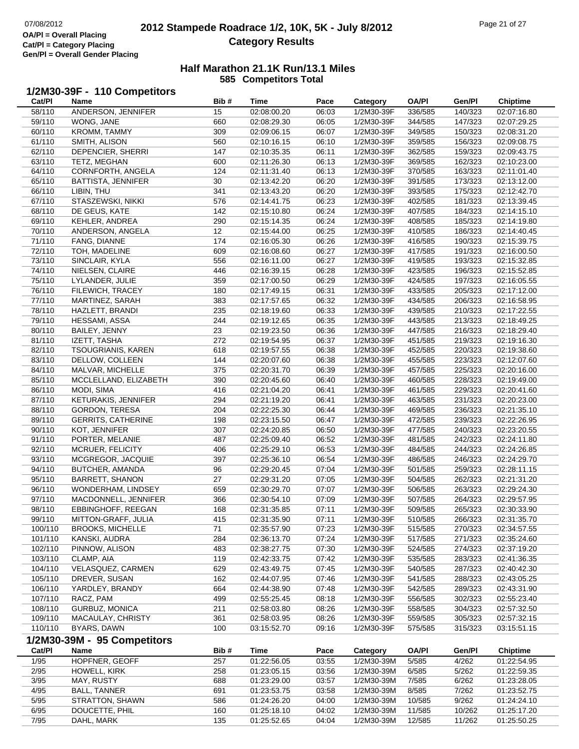### **2012 Stampede Roadrace 1/2, 10K, 5K - July 8/2012** 07/08/2012 Page 21 of 27 **Category Results**

### **Half Marathon 21.1K Run/13.1 Miles 585 Competitors Total**

#### **1/2M30-39F - 110 Competitors**

| Cat/PI  | Name                        | Bib# | Time        | Pace  | Category   | <b>OA/PI</b> | Gen/Pl  | Chiptime                 |
|---------|-----------------------------|------|-------------|-------|------------|--------------|---------|--------------------------|
| 58/110  | ANDERSON, JENNIFER          | 15   | 02:08:00.20 | 06:03 | 1/2M30-39F | 336/585      | 140/323 | 02:07:16.80              |
| 59/110  | WONG, JANE                  | 660  | 02:08:29.30 | 06:05 | 1/2M30-39F | 344/585      | 147/323 | $\overline{02:07:}29.25$ |
| 60/110  | KROMM, TAMMY                | 309  | 02:09:06.15 | 06:07 | 1/2M30-39F | 349/585      | 150/323 | 02:08:31.20              |
| 61/110  | SMITH, ALISON               | 560  | 02:10:16.15 | 06:10 | 1/2M30-39F | 359/585      | 156/323 | 02:09:08.75              |
| 62/110  | DEPENCIER, SHERRI           | 147  | 02:10:35.35 | 06:11 | 1/2M30-39F | 362/585      | 159/323 | 02:09:43.75              |
| 63/110  | TETZ, MEGHAN                | 600  | 02:11:26.30 | 06:13 | 1/2M30-39F | 369/585      | 162/323 | 02:10:23.00              |
| 64/110  | CORNFORTH, ANGELA           | 124  | 02:11:31.40 | 06:13 | 1/2M30-39F | 370/585      | 163/323 | 02:11:01.40              |
| 65/110  | <b>BATTISTA, JENNIFER</b>   | 30   | 02:13:42.20 | 06:20 | 1/2M30-39F | 391/585      | 173/323 | 02:13:12.00              |
| 66/110  | LIBIN, THU                  | 341  | 02:13:43.20 | 06:20 | 1/2M30-39F | 393/585      | 175/323 | 02:12:42.70              |
| 67/110  | STASZEWSKI, NIKKI           | 576  | 02:14:41.75 | 06:23 | 1/2M30-39F | 402/585      | 181/323 | 02:13:39.45              |
| 68/110  | DE GEUS, KATE               | 142  | 02:15:10.80 | 06:24 | 1/2M30-39F | 407/585      | 184/323 | 02:14:15.10              |
| 69/110  | KEHLER, ANDREA              | 290  | 02:15:14.35 | 06:24 | 1/2M30-39F | 408/585      | 185/323 | 02:14:19.80              |
| 70/110  | ANDERSON, ANGELA            | 12   | 02:15:44.00 | 06:25 | 1/2M30-39F | 410/585      | 186/323 | 02:14:40.45              |
| 71/110  | FANG, DIANNE                | 174  | 02:16:05.30 | 06:26 | 1/2M30-39F | 416/585      | 190/323 | 02:15:39.75              |
| 72/110  | TOH, MADELINE               | 609  | 02:16:08.60 | 06:27 | 1/2M30-39F | 417/585      | 191/323 | 02:16:00.50              |
| 73/110  | SINCLAIR, KYLA              | 556  | 02:16:11.00 | 06:27 | 1/2M30-39F | 419/585      | 193/323 | 02:15:32.85              |
| 74/110  | NIELSEN, CLAIRE             | 446  | 02:16:39.15 | 06:28 | 1/2M30-39F | 423/585      | 196/323 | 02:15:52.85              |
| 75/110  | LYLANDER, JULIE             | 359  | 02:17:00.50 | 06:29 | 1/2M30-39F | 424/585      | 197/323 | 02:16:05.55              |
| 76/110  | FILEWICH, TRACEY            | 180  | 02:17:49.15 | 06:31 | 1/2M30-39F | 433/585      | 205/323 | 02:17:12.00              |
| 77/110  | MARTINEZ, SARAH             | 383  | 02:17:57.65 | 06:32 | 1/2M30-39F | 434/585      | 206/323 | 02:16:58.95              |
| 78/110  | HAZLETT, BRANDI             | 235  | 02:18:19.60 | 06:33 | 1/2M30-39F | 439/585      | 210/323 | 02:17:22.55              |
| 79/110  | HESSAMI, ASSA               | 244  | 02:19:12.65 | 06:35 | 1/2M30-39F | 443/585      | 213/323 | 02:18:49.25              |
| 80/110  | BAILEY, JENNY               | 23   | 02:19:23.50 | 06:36 | 1/2M30-39F | 447/585      | 216/323 | 02:18:29.40              |
| 81/110  | IZETT, TASHA                | 272  | 02:19:54.95 | 06:37 | 1/2M30-39F | 451/585      | 219/323 | 02:19:16.30              |
| 82/110  | <b>TSOUGRIANIS, KAREN</b>   | 618  | 02:19:57.55 | 06:38 | 1/2M30-39F | 452/585      | 220/323 | 02:19:38.60              |
| 83/110  | DELLOW, COLLEEN             | 144  | 02:20:07.60 | 06:38 | 1/2M30-39F | 455/585      | 223/323 | 02:12:07.60              |
| 84/110  | MALVAR, MICHELLE            | 375  | 02:20:31.70 | 06:39 | 1/2M30-39F | 457/585      | 225/323 | 02:20:16.00              |
| 85/110  | MCCLELLAND, ELIZABETH       | 390  | 02:20:45.60 | 06:40 | 1/2M30-39F | 460/585      | 228/323 | 02:19:49.00              |
| 86/110  | MODI, SIMA                  | 416  | 02:21:04.20 | 06:41 | 1/2M30-39F | 461/585      | 229/323 | 02:20:41.60              |
| 87/110  | KETURAKIS, JENNIFER         | 294  | 02:21:19.20 | 06:41 | 1/2M30-39F | 463/585      | 231/323 | 02:20:23.00              |
| 88/110  | GORDON, TERESA              | 204  | 02:22:25.30 | 06:44 | 1/2M30-39F | 469/585      | 236/323 | 02:21:35.10              |
| 89/110  | <b>GERRITS, CATHERINE</b>   | 198  | 02:23:15.50 | 06:47 | 1/2M30-39F | 472/585      | 239/323 | 02:22:26.95              |
| 90/110  | KOT, JENNIFER               | 307  | 02:24:20.85 | 06:50 | 1/2M30-39F | 477/585      | 240/323 | 02:23:20.55              |
| 91/110  | PORTER, MELANIE             | 487  | 02:25:09.40 | 06:52 | 1/2M30-39F | 481/585      | 242/323 | 02:24:11.80              |
| 92/110  | MCRUER, FELICITY            | 406  | 02:25:29.10 | 06:53 | 1/2M30-39F | 484/585      | 244/323 | 02:24:26.85              |
| 93/110  | MCGREGOR, JACQUIE           | 397  | 02:25:36.10 | 06:54 | 1/2M30-39F | 486/585      | 246/323 | 02:24:29.70              |
| 94/110  | BUTCHER, AMANDA             | 96   | 02:29:20.45 | 07:04 | 1/2M30-39F | 501/585      | 259/323 | 02:28:11.15              |
| 95/110  | <b>BARRETT, SHANON</b>      | 27   | 02:29:31.20 | 07:05 | 1/2M30-39F | 504/585      | 262/323 | 02:21:31.20              |
| 96/110  | WONDERHAM, LINDSEY          | 659  | 02:30:29.70 | 07:07 | 1/2M30-39F | 506/585      | 263/323 | 02:29:24.30              |
| 97/110  | MACDONNELL, JENNIFER        | 366  | 02:30:54.10 | 07:09 | 1/2M30-39F | 507/585      | 264/323 | 02:29:57.95              |
| 98/110  | EBBINGHOFF, REEGAN          | 168  | 02:31:35.85 | 07:11 | 1/2M30-39F | 509/585      | 265/323 | 02:30:33.90              |
| 99/110  | MITTON-GRAFF, JULIA         | 415  | 02:31:35.90 | 07:11 | 1/2M30-39F | 510/585      | 266/323 | 02:31:35.70              |
| 100/110 | <b>BROOKS, MICHELLE</b>     | 71   | 02:35:57.90 | 07:23 | 1/2M30-39F | 515/585      | 270/323 | 02:34:57.55              |
| 101/110 | KANSKI, AUDRA               | 284  | 02:36:13.70 | 07:24 | 1/2M30-39F | 517/585      | 271/323 | 02:35:24.60              |
| 102/110 | PINNOW, ALISON              | 483  | 02:38:27.75 | 07:30 | 1/2M30-39F | 524/585      | 274/323 | 02:37:19.20              |
| 103/110 | CLAMP, AIA                  | 119  | 02:42:33.75 | 07:42 | 1/2M30-39F | 535/585      | 283/323 | 02:41:36.35              |
| 104/110 | VELASQUEZ, CARMEN           | 629  | 02:43:49.75 | 07:45 | 1/2M30-39F | 540/585      | 287/323 | 02:40:42.30              |
| 105/110 | DREVER, SUSAN               | 162  | 02:44:07.95 | 07:46 | 1/2M30-39F | 541/585      | 288/323 | 02:43:05.25              |
| 106/110 | YARDLEY, BRANDY             | 664  | 02:44:38.90 | 07:48 | 1/2M30-39F | 542/585      | 289/323 | 02:43:31.90              |
| 107/110 | RACZ, PAM                   | 499  | 02:55:25.45 | 08:18 | 1/2M30-39F | 556/585      | 302/323 | 02:55:23.40              |
| 108/110 | GURBUZ, MONICA              | 211  | 02:58:03.80 | 08:26 | 1/2M30-39F | 558/585      | 304/323 | 02:57:32.50              |
| 109/110 | MACAULAY, CHRISTY           | 361  | 02:58:03.95 | 08:26 | 1/2M30-39F | 559/585      | 305/323 | 02:57:32.15              |
| 110/110 | BYARS, DAWN                 | 100  | 03:15:52.70 | 09:16 | 1/2M30-39F | 575/585      | 315/323 | 03:15:51.15              |
|         | 1/2M30-39M - 95 Competitors |      |             |       |            |              |         |                          |
| Cat/PI  | Name                        | Bib# | <b>Time</b> | Pace  | Category   | <b>OA/PI</b> | Gen/Pl  | <b>Chiptime</b>          |
| 1/95    | HOPFNER, GEOFF              | 257  | 01:22:56.05 | 03:55 | 1/2M30-39M | 5/585        | 4/262   | 01:22:54.95              |
| 2/95    | HOWELL, KIRK                | 258  | 01:23:05.15 | 03:56 | 1/2M30-39M | 6/585        | 5/262   | 01:22:59.35              |
| 3/95    | MAY, RUSTY                  | 688  | 01:23:29.00 | 03:57 | 1/2M30-39M | 7/585        | 6/262   | 01:23:28.05              |
| 4/95    | <b>BALL, TANNER</b>         | 691  | 01:23:53.75 | 03:58 | 1/2M30-39M | 8/585        | 7/262   | 01:23:52.75              |
| $5/95$  | STRATTON, SHAWN             | 586  | 01:24:26.20 | 04:00 | 1/2M30-39M | 10/585       | 9/262   | 01:24:24.10              |
| 6/95    | DOUCETTE, PHIL              | 160  | 01:25:18.10 | 04:02 | 1/2M30-39M | 11/585       | 10/262  | 01:25:17.20              |
| 7/95    | DAHL, MARK                  | 135  | 01:25:52.65 | 04:04 | 1/2M30-39M | 12/585       | 11/262  | 01:25:50.25              |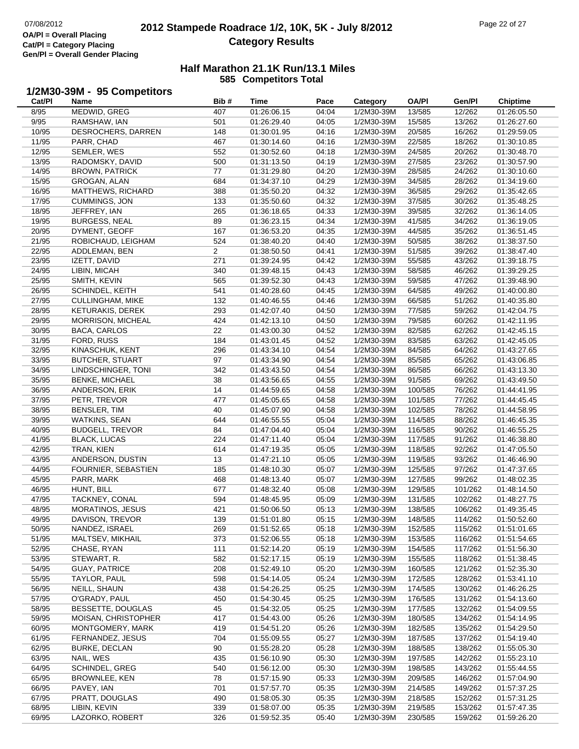L,

## **2012 Stampede Roadrace 1/2, 10K, 5K - July 8/2012** 07/08/2012 Page 22 of 27 **Category Results**

#### **Half Marathon 21.1K Run/13.1 Miles585 Competitors Total**

# **1/2M30-39M - 95 Competitors Cat/Pl**

| Cat/PI         | Name                    | Bib#           | Time        | Pace  | Category   | <b>OA/PI</b> | Gen/Pl           | <b>Chiptime</b>           |
|----------------|-------------------------|----------------|-------------|-------|------------|--------------|------------------|---------------------------|
| 8/95           | MEDWID, GREG            | 407            | 01:26:06.15 | 04:04 | 1/2M30-39M | 13/585       | 12/262           | $\overline{01}$ :26:05.50 |
| 9/95           | RAMSHAW, IAN            | 501            | 01:26:29.40 | 04:05 | 1/2M30-39M | 15/585       | 13/262           | 01:26:27.60               |
| 10/95          | DESROCHERS, DARREN      | 148            | 01:30:01.95 | 04:16 | 1/2M30-39M | 20/585       | 16/262           | 01:29:59.05               |
| 11/95          | PARR, CHAD              | 467            | 01:30:14.60 | 04:16 | 1/2M30-39M | 22/585       | 18/262           | 01:30:10.85               |
| 12/95          | SEMLER, WES             | 552            | 01:30:52.60 | 04:18 | 1/2M30-39M | 24/585       | 20/262           | 01:30:48.70               |
| 13/95          | RADOMSKY, DAVID         | 500            | 01:31:13.50 | 04:19 | 1/2M30-39M | 27/585       | 23/262           | 01:30:57.90               |
| 14/95          | <b>BROWN, PATRICK</b>   | 77             | 01:31:29.80 | 04:20 | 1/2M30-39M | 28/585       | 24/262           | 01:30:10.60               |
| 15/95          | GROGAN, ALAN            | 684            | 01:34:37.10 | 04:29 | 1/2M30-39M | 34/585       | 28/262           | 01:34:19.60               |
| 16/95          | MATTHEWS, RICHARD       | 388            | 01:35:50.20 | 04:32 | 1/2M30-39M | 36/585       | 29/262           | 01:35:42.65               |
| 17/95          | CUMMINGS, JON           | 133            | 01:35:50.60 | 04:32 | 1/2M30-39M | 37/585       | 30/262           | 01:35:48.25               |
| 18/95          | JEFFREY, IAN            | 265            | 01:36:18.65 | 04:33 | 1/2M30-39M | 39/585       | 32/262           | 01:36:14.05               |
| 19/95          | <b>BURGESS, NEAL</b>    | 89             | 01:36:23.15 | 04:34 | 1/2M30-39M | 41/585       | 34/262           | 01:36:19.05               |
| 20/95          | DYMENT, GEOFF           | 167            | 01:36:53.20 | 04:35 | 1/2M30-39M | 44/585       | 35/262           | 01:36:51.45               |
| 21/95          | ROBICHAUD, LEIGHAM      | 524            | 01:38:40.20 | 04:40 | 1/2M30-39M | 50/585       | 38/262           | 01:38:37.50               |
| 22/95          | ADDLEMAN, BEN           | $\overline{2}$ | 01:38:50.50 | 04:41 | 1/2M30-39M | 51/585       | 39/262           | 01:38:47.40               |
| 23/95          |                         | 271            | 01:39:24.95 | 04:42 | 1/2M30-39M | 55/585       | 43/262           | 01:39:18.75               |
|                | IZETT, DAVID            | 340            |             | 04:43 |            | 58/585       |                  |                           |
| 24/95<br>25/95 | LIBIN, MICAH            |                | 01:39:48.15 |       | 1/2M30-39M | 59/585       | 46/262<br>47/262 | 01:39:29.25               |
|                | SMITH, KEVIN            | 565            | 01:39:52.30 | 04:43 | 1/2M30-39M |              |                  | 01:39:48.90               |
| 26/95          | SCHINDEL, KEITH         | 541            | 01:40:28.60 | 04:45 | 1/2M30-39M | 64/585       | 49/262           | 01:40:00.80               |
| 27/95          | <b>CULLINGHAM, MIKE</b> | 132            | 01:40:46.55 | 04:46 | 1/2M30-39M | 66/585       | 51/262           | 01:40:35.80               |
| 28/95          | KETURAKIS, DEREK        | 293            | 01:42:07.40 | 04:50 | 1/2M30-39M | 77/585       | 59/262           | 01:42:04.75               |
| 29/95          | MORRISON, MICHEAL       | 424            | 01:42:13.10 | 04:50 | 1/2M30-39M | 79/585       | 60/262           | 01:42:11.95               |
| 30/95          | <b>BACA, CARLOS</b>     | 22             | 01:43:00.30 | 04:52 | 1/2M30-39M | 82/585       | 62/262           | 01:42:45.15               |
| 31/95          | FORD, RUSS              | 184            | 01:43:01.45 | 04:52 | 1/2M30-39M | 83/585       | 63/262           | 01:42:45.05               |
| 32/95          | KINASCHUK, KENT         | 296            | 01:43:34.10 | 04:54 | 1/2M30-39M | 84/585       | 64/262           | 01:43:27.65               |
| 33/95          | <b>BUTCHER, STUART</b>  | 97             | 01:43:34.90 | 04:54 | 1/2M30-39M | 85/585       | 65/262           | 01:43:06.85               |
| 34/95          | LINDSCHINGER, TONI      | 342            | 01:43:43.50 | 04:54 | 1/2M30-39M | 86/585       | 66/262           | 01:43:13.30               |
| 35/95          | <b>BENKE, MICHAEL</b>   | 38             | 01:43:56.65 | 04:55 | 1/2M30-39M | 91/585       | 69/262           | 01:43:49.50               |
| 36/95          | ANDERSON, ERIK          | 14             | 01:44:59.65 | 04:58 | 1/2M30-39M | 100/585      | 76/262           | 01:44:41.95               |
| 37/95          | PETR, TREVOR            | 477            | 01:45:05.65 | 04:58 | 1/2M30-39M | 101/585      | 77/262           | 01:44:45.45               |
| 38/95          | BENSLER, TIM            | 40             | 01:45:07.90 | 04:58 | 1/2M30-39M | 102/585      | 78/262           | 01:44:58.95               |
| 39/95          | <b>WATKINS, SEAN</b>    | 644            | 01:46:55.55 | 05:04 | 1/2M30-39M | 114/585      | 88/262           | 01:46:45.35               |
| 40/95          | <b>BUDGELL, TREVOR</b>  | 84             | 01:47:04.40 | 05:04 | 1/2M30-39M | 116/585      | 90/262           | 01:46:55.25               |
| 41/95          | <b>BLACK, LUCAS</b>     | 224            | 01:47:11.40 | 05:04 | 1/2M30-39M | 117/585      | 91/262           | 01:46:38.80               |
| 42/95          | TRAN, KIEN              | 614            | 01:47:19.35 | 05:05 | 1/2M30-39M | 118/585      | 92/262           | 01:47:05.50               |
| 43/95          | ANDERSON, DUSTIN        | 13             | 01:47:21.10 | 05:05 | 1/2M30-39M | 119/585      | 93/262           | 01:46:46.90               |
| 44/95          | FOURNIER, SEBASTIEN     | 185            | 01:48:10.30 | 05:07 | 1/2M30-39M | 125/585      | 97/262           | 01:47:37.65               |
| 45/95          | PARR, MARK              | 468            | 01:48:13.40 | 05:07 | 1/2M30-39M | 127/585      | 99/262           | 01:48:02.35               |
| 46/95          | HUNT, BILL              | 677            | 01:48:32.40 | 05:08 | 1/2M30-39M | 129/585      | 101/262          | 01:48:14.50               |
| 47/95          | TACKNEY, CONAL          | 594            | 01:48:45.95 | 05:09 | 1/2M30-39M | 131/585      | 102/262          | 01:48:27.75               |
| 48/95          | MORATINOS, JESUS        | 421            | 01:50:06.50 | 05:13 | 1/2M30-39M | 138/585      | 106/262          | 01:49:35.45               |
| 49/95          | DAVISON, TREVOR         | 139            | 01:51:01.80 | 05:15 | 1/2M30-39M | 148/585      | 114/262          | 01:50:52.60               |
| 50/95          | NANDEZ, ISRAEL          | 269            | 01:51:52.65 | 05:18 | 1/2M30-39M | 152/585      | 115/262          | 01:51:01.65               |
| 51/95          | MALTSEV, MIKHAIL        | 373            | 01:52:06.55 | 05:18 | 1/2M30-39M | 153/585      | 116/262          | 01:51:54.65               |
| 52/95          | CHASE, RYAN             | 111            | 01:52:14.20 | 05:19 | 1/2M30-39M | 154/585      | 117/262          | 01:51:56.30               |
| 53/95          | STEWART, R.             | 582            | 01:52:17.15 | 05:19 | 1/2M30-39M | 155/585      | 118/262          | 01:51:38.45               |
| 54/95          | <b>GUAY, PATRICE</b>    | 208            | 01:52:49.10 | 05:20 | 1/2M30-39M | 160/585      | 121/262          | 01:52:35.30               |
| 55/95          | TAYLOR, PAUL            | 598            | 01:54:14.05 | 05:24 | 1/2M30-39M | 172/585      | 128/262          | 01:53:41.10               |
| 56/95          | NEILL, SHAUN            | 438            | 01:54:26.25 | 05:25 | 1/2M30-39M | 174/585      | 130/262          | 01:46:26.25               |
| 57/95          | O'GRADY, PAUL           | 450            | 01:54:30.45 | 05:25 | 1/2M30-39M | 176/585      | 131/262          | 01:54:13.60               |
| 58/95          | BESSETTE, DOUGLAS       | 45             | 01:54:32.05 | 05:25 | 1/2M30-39M | 177/585      | 132/262          | 01:54:09.55               |
| 59/95          | MOISAN, CHRISTOPHER     | 417            | 01:54:43.00 | 05:26 | 1/2M30-39M | 180/585      | 134/262          | 01:54:14.95               |
| 60/95          | MONTGOMERY, MARK        | 419            | 01:54:51.20 | 05:26 | 1/2M30-39M | 182/585      | 135/262          | 01:54:29.50               |
| 61/95          | FERNANDEZ, JESUS        | 704            | 01:55:09.55 | 05:27 | 1/2M30-39M | 187/585      | 137/262          | 01:54:19.40               |
| 62/95          | BURKE, DECLAN           | 90             | 01:55:28.20 | 05:28 | 1/2M30-39M | 188/585      | 138/262          | 01:55:05.30               |
| 63/95          | NAIL, WES               | 435            | 01:56:10.90 | 05:30 | 1/2M30-39M | 197/585      | 142/262          | 01:55:23.10               |
| 64/95          | <b>SCHINDEL, GREG</b>   | 540            | 01:56:12.00 | 05:30 | 1/2M30-39M | 198/585      | 143/262          | 01:55:44.55               |
| 65/95          | BROWNLEE, KEN           | 78             | 01:57:15.90 | 05:33 | 1/2M30-39M | 209/585      | 146/262          | 01:57:04.90               |
| 66/95          | PAVEY, IAN              | 701            | 01:57:57.70 | 05:35 | 1/2M30-39M | 214/585      | 149/262          | 01:57:37.25               |
| 67/95          | PRATT, DOUGLAS          | 490            | 01:58:05.30 | 05:35 | 1/2M30-39M | 218/585      | 152/262          | 01:57:31.25               |
| 68/95          | LIBIN, KEVIN            | 339            | 01:58:07.00 | 05:35 | 1/2M30-39M | 219/585      | 153/262          | 01:57:47.35               |
| 69/95          | LAZORKO, ROBERT         | 326            | 01:59:52.35 | 05:40 | 1/2M30-39M | 230/585      | 159/262          | 01:59:26.20               |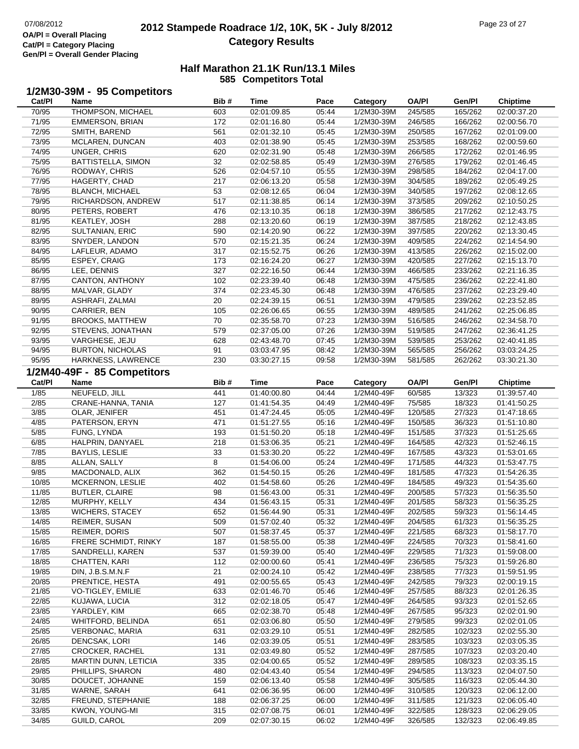**1/2M30-39M - 95 Competitors**

## **2012 Stampede Roadrace 1/2, 10K, 5K - July 8/2012** 07/08/2012 Page 23 of 27 **Category Results**

| Cat/Pl         | Name                             | Bib#      | Time                       | Pace           | Category                 | <b>OA/PI</b>       | Gen/Pl             | Chiptime                   |
|----------------|----------------------------------|-----------|----------------------------|----------------|--------------------------|--------------------|--------------------|----------------------------|
| 70/95          | THOMPSON, MICHAEL                | 603       | 02:01:09.85                | 05:44          | 1/2M30-39M               | 245/585            | 165/262            | 02:00:37.20                |
| 71/95          | <b>EMMERSON, BRIAN</b>           | 172       | 02:01:16.80                | 05:44          | 1/2M30-39M               | 246/585            | 166/262            | 02:00:56.70                |
| 72/95          | SMITH, BAREND                    | 561       | 02:01:32.10                | 05:45          | 1/2M30-39M               | 250/585            | 167/262            | 02:01:09.00                |
| 73/95          | MCLAREN, DUNCAN                  | 403       | 02:01:38.90                | 05:45          | 1/2M30-39M               | 253/585            | 168/262            | 02:00:59.60                |
| 74/95          | UNGER, CHRIS                     | 620       | 02:02:31.90                | 05:48          | 1/2M30-39M               | 266/585            | 172/262            | 02:01:46.95                |
| 75/95          | <b>BATTISTELLA, SIMON</b>        | 32        | 02:02:58.85                | 05:49          | 1/2M30-39M               | 276/585            | 179/262            | 02:01:46.45                |
| 76/95          | RODWAY, CHRIS                    | 526       | 02:04:57.10                | 05:55          | 1/2M30-39M               | 298/585            | 184/262            | 02:04:17.00                |
| 77/95          | HAGERTY, CHAD                    | 217       | 02:06:13.20                | 05:58          | 1/2M30-39M               | 304/585            | 189/262            | 02:05:49.25                |
| 78/95          | <b>BLANCH, MICHAEL</b>           | 53        | 02:08:12.65                | 06:04          | 1/2M30-39M               | 340/585            | 197/262            | 02:08:12.65                |
| 79/95          | RICHARDSON, ANDREW               | 517       | 02:11:38.85                | 06:14          | 1/2M30-39M               | 373/585            | 209/262            | 02:10:50.25                |
| 80/95          | PETERS, ROBERT                   | 476       | 02:13:10.35                | 06:18          | 1/2M30-39M               | 386/585            | 217/262            | 02:12:43.75                |
| 81/95          | KEATLEY, JOSH                    | 288       | 02:13:20.60                | 06:19          | 1/2M30-39M               | 387/585            | 218/262            | 02:12:43.85                |
| 82/95          | <b>SULTANIAN, ERIC</b>           | 590       | 02:14:20.90                | 06:22          | 1/2M30-39M               | 397/585            | 220/262            | 02:13:30.45                |
| 83/95          | SNYDER, LANDON                   | 570       | 02:15:21.35                | 06:24          | 1/2M30-39M               | 409/585            | 224/262            | 02:14:54.90                |
| 84/95          | LAFLEUR, ADAMO                   | 317       | 02:15:52.75                | 06:26          | 1/2M30-39M               | 413/585            | 226/262            | 02:15:02.00                |
| 85/95          |                                  | 173       | 02:16:24.20                | 06:27          | 1/2M30-39M               | 420/585            | 227/262            | 02:15:13.70                |
| 86/95          | ESPEY, CRAIG<br>LEE, DENNIS      | 327       | 02:22:16.50                | 06:44          | 1/2M30-39M               | 466/585            | 233/262            | 02:21:16.35                |
| 87/95          | CANTON, ANTHONY                  | 102       | 02:23:39.40                | 06:48          | 1/2M30-39M               | 475/585            | 236/262            | 02:22:41.80                |
|                |                                  | 374       |                            |                | 1/2M30-39M               |                    |                    |                            |
| 88/95<br>89/95 | MALVAR, GLADY<br>ASHRAFI, ZALMAI | 20        | 02:23:45.30<br>02:24:39.15 | 06:48<br>06:51 | 1/2M30-39M               | 476/585<br>479/585 | 237/262<br>239/262 | 02:23:29.40<br>02:23:52.85 |
|                |                                  | 105       |                            |                |                          |                    |                    |                            |
| 90/95          | CARRIER, BEN                     | 70        | 02:26:06.65                | 06:55          | 1/2M30-39M<br>1/2M30-39M | 489/585            | 241/262            | 02:25:06.85                |
| 91/95          | <b>BROOKS, MATTHEW</b>           |           | 02:35:58.70                | 07:23          |                          | 516/585            | 246/262            | 02:34:58.70                |
| 92/95          | STEVENS, JONATHAN                | 579       | 02:37:05.00                | 07:26          | 1/2M30-39M               | 519/585<br>539/585 | 247/262            | 02:36:41.25<br>02:40:41.85 |
| 93/95          | VARGHESE, JEJU                   | 628<br>91 | 02:43:48.70                | 07:45          | 1/2M30-39M               |                    | 253/262            |                            |
| 94/95          | <b>BURTON, NICHOLAS</b>          |           | 03:03:47.95                | 08:42          | 1/2M30-39M               | 565/585            | 256/262            | 03:03:24.25                |
| 95/95          | HARKNESS, LAWRENCE               | 230       | 03:30:27.15                | 09:58          | 1/2M30-39M               | 581/585            | 262/262            | 03:30:21.30                |
|                | 1/2M40-49F - 85 Competitors      |           |                            |                |                          |                    |                    |                            |
| Cat/Pl         | Name                             | Bib#      | <b>Time</b>                | Pace           | Category                 | <b>OA/PI</b>       | Gen/Pl             | <b>Chiptime</b>            |
| 1/85           | NEUFELD, JILL                    | 441       | 01:40:00.80                | 04:44          | 1/2M40-49F               | 60/585             | 13/323             | 01:39:57.40                |
| 2/85           | CRANE-HANNA, TANIA               | 127       | 01:41:54.35                | 04:49          | 1/2M40-49F               | 75/585             | 18/323             | 01:41:50.25                |
| 3/85           | OLAR, JENIFER                    | 451       | 01:47:24.45                | 05:05          | 1/2M40-49F               | 120/585            | 27/323             | 01:47:18.65                |
| 4/85           | PATERSON, ERYN                   | 471       | 01:51:27.55                | 05:16          | 1/2M40-49F               | 150/585            | 36/323             | 01:51:10.80                |
| 5/85           | FUNG, LYNDA                      | 193       | 01:51:50.20                | 05:18          | 1/2M40-49F               | 151/585            | 37/323             | 01:51:25.65                |
| 6/85           | HALPRIN, DANYAEL                 | 218       | 01:53:06.35                | 05:21          | 1/2M40-49F               | 164/585            | 42/323             | 01:52:46.15                |
| 7/85           | <b>BAYLIS, LESLIE</b>            | 33        | 01:53:30.20                | 05:22          | 1/2M40-49F               | 167/585            | 43/323             | 01:53:01.65                |
| 8/85           | ALLAN, SALLY                     | 8         | 01:54:06.00                | 05:24          | 1/2M40-49F               | 171/585            | 44/323             | 01:53:47.75                |
| 9/85           | MACDONALD, ALIX                  | 362       | 01:54:50.15                | 05:26          | 1/2M40-49F               | 181/585            | 47/323             | 01:54:26.35                |
| 10/85          | MCKERNON, LESLIE                 | 402       | 01:54:58.60                | 05:26          | 1/2M40-49F               | 184/585            | 49/323             | 01:54:35.60                |
| 11/85          | <b>BUTLER, CLAIRE</b>            | 98        | 01:56:43.00                | 05:31          | 1/2M40-49F               | 200/585            | 57/323             | 01:56:35.50                |
| 12/85          | MURPHY, KELLY                    | 434       | 01:56:43.15                | 05:31          | 1/2M40-49F               | 201/585            | 58/323             | 01:56:35.25                |
| 13/85          | <b>WICHERS, STACEY</b>           | 652       | 01:56:44.90                | 05:31          | 1/2M40-49F               | 202/585            | 59/323             | 01:56:14.45                |
| 14/85          | REIMER, SUSAN                    | 509       | 01:57:02.40                | 05:32          | 1/2M40-49F               | 204/585            | 61/323             | 01:56:35.25                |
| 15/85          | <b>REIMER, DORIS</b>             | 507       | 01:58:37.45                | 05:37          | 1/2M40-49F               | 221/585            | 68/323             | 01:58:17.70                |
| 16/85          | FRERE SCHMIDT, RINKY             | 187       | 01:58:55.00                | 05:38          | 1/2M40-49F               | 224/585            | 70/323             | 01:58:41.60                |
| 17/85          | SANDRELLI, KAREN                 | 537       | 01:59:39.00                | 05:40          | 1/2M40-49F               | 229/585            | 71/323             | 01:59:08.00                |
| 18/85          | CHATTEN, KARI                    | 112       | 02:00:00.60                | 05:41          | 1/2M40-49F               | 236/585            | 75/323             | 01:59:26.80                |
| 19/85          | DIN, J.B.S.M.N.F                 | 21        | 02:00:24.10                | 05:42          | 1/2M40-49F               | 238/585            | 77/323             | 01:59:51.95                |
| 20/85          | PRENTICE, HESTA                  | 491       | 02:00:55.65                | 05:43          | 1/2M40-49F               | 242/585            | 79/323             | 02:00:19.15                |
| 21/85          | VO-TIGLEY, EMILIE                | 633       | 02:01:46.70                | 05:46          | 1/2M40-49F               | 257/585            | 88/323             | 02:01:26.35                |
| 22/85          | KUJAWA, LUCIA                    | 312       | 02:02:18.05                | 05:47          | 1/2M40-49F               | 264/585            | 93/323             | 02:01:52.65                |
| 23/85          | YARDLEY, KIM                     | 665       | 02:02:38.70                | 05:48          | 1/2M40-49F               | 267/585            | 95/323             | 02:02:01.90                |
| 24/85          | <b>WHITFORD, BELINDA</b>         | 651       | 02:03:06.80                | 05:50          | 1/2M40-49F               | 279/585            | 99/323             | 02:02:01.05                |
| 25/85          | VERBONAC, MARIA                  | 631       | 02:03:29.10                | 05:51          | 1/2M40-49F               | 282/585            | 102/323            | 02:02:55.30                |
| 26/85          | DENCSAK, LORI                    | 146       | 02:03:39.05                | 05:51          | 1/2M40-49F               | 283/585            | 103/323            | 02:03:05.35                |
| 27/85          | <b>CROCKER, RACHEL</b>           | 131       | 02:03:49.80                | 05:52          | 1/2M40-49F               | 287/585            | 107/323            | 02:03:20.40                |
| 28/85          | MARTIN DUNN, LETICIA             | 335       | 02:04:00.65                | 05:52          | 1/2M40-49F               | 289/585            | 108/323            | 02:03:35.15                |
| 29/85          | PHILLIPS, SHARON                 | 480       | 02:04:43.40                | 05:54          | 1/2M40-49F               | 294/585            | 113/323            | 02:04:07.50                |
| 30/85          | DOUCET, JOHANNE                  | 159       | 02:06:13.40                | 05:58          | 1/2M40-49F               | 305/585            | 116/323            | 02:05:44.30                |
| 31/85          | WARNE, SARAH                     | 641       | 02:06:36.95                | 06:00          | 1/2M40-49F               | 310/585            | 120/323            | 02:06:12.00                |
| 32/85          | FREUND, STEPHANIE                | 188       | 02:06:37.25                | 06:00          | 1/2M40-49F               | 311/585            | 121/323            | 02:06:05.40                |
| 33/85          | KWON, YOUNG-MI                   | 315       | 02:07:08.75                | 06:01          | 1/2M40-49F               | 322/585            | 128/323            | 02:06:29.05                |
| 34/85          | <b>GUILD, CAROL</b>              | 209       | 02:07:30.15                | 06:02          | 1/2M40-49F               | 326/585            | 132/323            | 02:06:49.85                |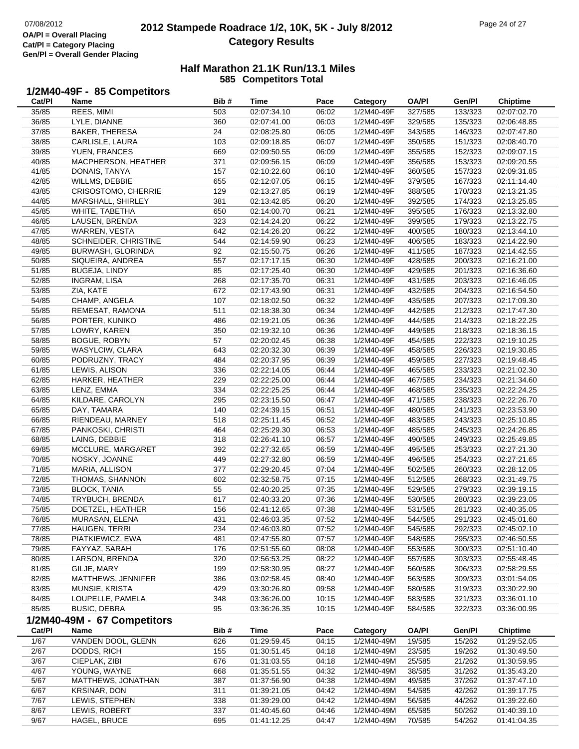9/67

### **2012 Stampede Roadrace 1/2, 10K, 5K - July 8/2012** 07/08/2012 Page 24 of 27 **Category Results**

#### **Half Marathon 21.1K Run/13.1 Miles585 Competitors Total**

#### **1/2M40-49F - 85 Competitors**

| Cat/PI | Name                        | Bib# | <b>Time</b> | Pace  | Category   | <b>OA/PI</b> | Gen/Pl  | Chiptime        |
|--------|-----------------------------|------|-------------|-------|------------|--------------|---------|-----------------|
| 35/85  | REES, MIMI                  | 503  | 02:07:34.10 | 06:02 | 1/2M40-49F | 327/585      | 133/323 | 02:07:02.70     |
| 36/85  | LYLE, DIANNE                | 360  | 02:07:41.00 | 06:03 | 1/2M40-49F | 329/585      | 135/323 | 02:06:48.85     |
| 37/85  | <b>BAKER, THERESA</b>       | 24   | 02:08:25.80 | 06:05 | 1/2M40-49F | 343/585      | 146/323 | 02:07:47.80     |
| 38/85  | CARLISLE, LAURA             | 103  | 02:09:18.85 | 06:07 | 1/2M40-49F | 350/585      | 151/323 | 02:08:40.70     |
| 39/85  | YUEN, FRANCES               | 669  | 02:09:50.55 | 06:09 | 1/2M40-49F | 355/585      | 152/323 | 02:09:07.15     |
| 40/85  | MACPHERSON, HEATHER         | 371  | 02:09:56.15 | 06:09 | 1/2M40-49F | 356/585      | 153/323 | 02:09:20.55     |
| 41/85  | DONAIS, TANYA               | 157  | 02:10:22.60 | 06:10 | 1/2M40-49F | 360/585      | 157/323 | 02:09:31.85     |
| 42/85  | WILLMS, DEBBIE              | 655  | 02:12:07.05 | 06:15 | 1/2M40-49F | 379/585      | 167/323 | 02:11:14.40     |
| 43/85  | <b>CRISOSTOMO, CHERRIE</b>  | 129  | 02:13:27.85 | 06:19 | 1/2M40-49F | 388/585      | 170/323 | 02:13:21.35     |
| 44/85  | MARSHALL, SHIRLEY           | 381  | 02:13:42.85 | 06:20 | 1/2M40-49F | 392/585      | 174/323 | 02:13:25.85     |
| 45/85  | WHITE, TABETHA              | 650  | 02:14:00.70 | 06:21 | 1/2M40-49F | 395/585      | 176/323 | 02:13:32.80     |
| 46/85  | LAUSEN, BRENDA              | 323  | 02:14:24.20 | 06:22 | 1/2M40-49F | 399/585      | 179/323 | 02:13:22.75     |
| 47/85  | WARREN, VESTA               | 642  | 02:14:26.20 | 06:22 | 1/2M40-49F | 400/585      | 180/323 | 02:13:44.10     |
| 48/85  | SCHNEIDER, CHRISTINE        | 544  | 02:14:59.90 | 06:23 | 1/2M40-49F | 406/585      | 183/323 | 02:14:22.90     |
| 49/85  | BURWASH, GLORINDA           | 92   | 02:15:50.75 | 06:26 | 1/2M40-49F | 411/585      | 187/323 | 02:14:42.55     |
| 50/85  | SIQUEIRA, ANDREA            | 557  | 02:17:17.15 | 06:30 | 1/2M40-49F | 428/585      | 200/323 | 02:16:21.00     |
| 51/85  | <b>BUGEJA, LINDY</b>        | 85   | 02:17:25.40 | 06:30 | 1/2M40-49F | 429/585      | 201/323 | 02:16:36.60     |
| 52/85  | <b>INGRAM, LISA</b>         | 268  | 02:17:35.70 | 06:31 | 1/2M40-49F | 431/585      | 203/323 | 02:16:46.05     |
| 53/85  | ZIA, KATE                   | 672  | 02:17:43.90 | 06:31 | 1/2M40-49F | 432/585      | 204/323 | 02:16:54.50     |
| 54/85  | CHAMP, ANGELA               | 107  | 02:18:02.50 | 06:32 | 1/2M40-49F | 435/585      | 207/323 | 02:17:09.30     |
| 55/85  | REMESAT, RAMONA             | 511  | 02:18:38.30 | 06:34 | 1/2M40-49F | 442/585      | 212/323 | 02:17:47.30     |
| 56/85  | PORTER, KUNIKO              | 486  | 02:19:21.05 | 06:36 | 1/2M40-49F | 444/585      | 214/323 | 02:18:22.25     |
| 57/85  | LOWRY, KAREN                | 350  | 02:19:32.10 | 06:36 | 1/2M40-49F | 449/585      | 218/323 | 02:18:36.15     |
| 58/85  | <b>BOGUE, ROBYN</b>         | 57   | 02:20:02.45 | 06:38 | 1/2M40-49F | 454/585      | 222/323 | 02:19:10.25     |
| 59/85  | WASYLCIW, CLARA             | 643  | 02:20:32.30 | 06:39 | 1/2M40-49F | 458/585      | 226/323 | 02:19:30.85     |
| 60/85  | PODRUZNY, TRACY             | 484  | 02:20:37.95 | 06:39 | 1/2M40-49F | 459/585      | 227/323 | 02:19:48.45     |
| 61/85  | LEWIS, ALISON               | 336  | 02:22:14.05 | 06:44 | 1/2M40-49F | 465/585      | 233/323 | 02:21:02.30     |
| 62/85  | HARKER, HEATHER             | 229  | 02:22:25.00 | 06:44 | 1/2M40-49F | 467/585      | 234/323 | 02:21:34.60     |
| 63/85  | LENZ, EMMA                  | 334  | 02:22:25.25 | 06:44 | 1/2M40-49F | 468/585      | 235/323 | 02:22:24.25     |
| 64/85  | KILDARE, CAROLYN            | 295  | 02:23:15.50 | 06:47 | 1/2M40-49F | 471/585      | 238/323 | 02:22:26.70     |
| 65/85  | DAY, TAMARA                 | 140  | 02:24:39.15 | 06:51 | 1/2M40-49F | 480/585      | 241/323 | 02:23:53.90     |
| 66/85  | RIENDEAU, MARNEY            | 518  | 02:25:11.45 | 06:52 | 1/2M40-49F | 483/585      | 243/323 | 02:25:10.85     |
| 67/85  | PANKOSKI, CHRISTI           | 464  | 02:25:29.30 | 06:53 | 1/2M40-49F | 485/585      | 245/323 | 02:24:26.85     |
| 68/85  | LAING, DEBBIE               | 318  | 02:26:41.10 | 06:57 | 1/2M40-49F | 490/585      | 249/323 | 02:25:49.85     |
| 69/85  | MCCLURE, MARGARET           | 392  | 02:27:32.65 | 06:59 | 1/2M40-49F | 495/585      | 253/323 | 02:27:21.30     |
| 70/85  | NOSKY, JOANNE               | 449  | 02:27:32.80 | 06:59 | 1/2M40-49F | 496/585      | 254/323 | 02:27:21.65     |
| 71/85  | MARIA, ALLISON              | 377  | 02:29:20.45 | 07:04 | 1/2M40-49F | 502/585      | 260/323 | 02:28:12.05     |
| 72/85  | THOMAS, SHANNON             | 602  | 02:32:58.75 | 07:15 | 1/2M40-49F | 512/585      | 268/323 | 02:31:49.75     |
| 73/85  | <b>BLOCK, TANIA</b>         | 55   | 02:40:20.25 | 07:35 | 1/2M40-49F | 529/585      | 279/323 | 02:39:19.15     |
| 74/85  | TRYBUCH, BRENDA             | 617  | 02:40:33.20 | 07:36 | 1/2M40-49F | 530/585      | 280/323 | 02:39:23.05     |
| 75/85  | DOETZEL, HEATHER            | 156  | 02:41:12.65 | 07:38 | 1/2M40-49F | 531/585      | 281/323 | 02:40:35.05     |
| 76/85  | MURASAN, ELENA              | 431  | 02:46:03.35 | 07:52 | 1/2M40-49F | 544/585      | 291/323 | 02:45:01.60     |
| 77/85  | HAUGEN, TERRI               | 234  | 02:46:03.80 | 07:52 | 1/2M40-49F | 545/585      | 292/323 | 02:45:02.10     |
| 78/85  | PIATKIEWICZ, EWA            | 481  | 02:47:55.80 | 07:57 | 1/2M40-49F | 548/585      | 295/323 | 02:46:50.55     |
| 79/85  | FAYYAZ, SARAH               | 176  | 02:51:55.60 | 08:08 | 1/2M40-49F | 553/585      | 300/323 | 02:51:10.40     |
| 80/85  | LARSON, BRENDA              | 320  | 02:56:53.25 | 08:22 | 1/2M40-49F | 557/585      | 303/323 | 02:55:48.45     |
| 81/85  | GILJE, MARY                 | 199  | 02:58:30.95 | 08:27 | 1/2M40-49F | 560/585      | 306/323 | 02:58:29.55     |
| 82/85  | MATTHEWS, JENNIFER          | 386  | 03:02:58.45 | 08:40 | 1/2M40-49F | 563/585      | 309/323 | 03:01:54.05     |
| 83/85  | MUNSIE, KRISTA              | 429  | 03:30:26.80 | 09:58 | 1/2M40-49F | 580/585      | 319/323 | 03:30:22.90     |
| 84/85  | LOUPELLE, PAMELA            | 348  | 03:36:26.00 | 10:15 | 1/2M40-49F | 583/585      | 321/323 | 03:36:01.10     |
| 85/85  | <b>BUSIC, DEBRA</b>         | 95   | 03:36:26.35 | 10:15 | 1/2M40-49F | 584/585      | 322/323 | 03:36:00.95     |
|        | 1/2M40-49M - 67 Competitors |      |             |       |            |              |         |                 |
| Cat/PI | Name                        | Bib# | Time        | Pace  | Category   | <b>OA/PI</b> | Gen/Pl  | <b>Chiptime</b> |
| 1/67   | VANDEN DOOL, GLENN          | 626  | 01:29:59.45 | 04:15 | 1/2M40-49M | 19/585       | 15/262  | 01:29:52.05     |
| 2/67   | DODDS, RICH                 | 155  | 01:30:51.45 | 04:18 | 1/2M40-49M | 23/585       | 19/262  | 01:30:49.50     |
| 3/67   | CIEPLAK, ZIBI               | 676  | 01:31:03.55 | 04:18 | 1/2M40-49M | 25/585       | 21/262  | 01:30:59.95     |
| 4/67   | YOUNG, WAYNE                | 668  | 01:35:51.55 | 04:32 | 1/2M40-49M | 38/585       | 31/262  | 01:35:43.20     |
| 5/67   | MATTHEWS, JONATHAN          | 387  | 01:37:56.90 | 04:38 | 1/2M40-49M | 49/585       | 37/262  | 01:37:47.10     |
| 6/67   | <b>KRSINAR, DON</b>         | 311  | 01:39:21.05 | 04:42 | 1/2M40-49M | 54/585       | 42/262  | 01:39:17.75     |
| 7/67   | LEWIS, STEPHEN              | 338  | 01:39:29.00 | 04:42 | 1/2M40-49M | 56/585       | 44/262  | 01:39:22.60     |
| 8/67   | LEWIS, ROBERT               | 337  | 01:40:45.60 | 04:46 | 1/2M40-49M | 65/585       | 50/262  | 01:40:39.10     |

HAGEL, BRUCE 695 01:41:12.25 04:47 1/2M40-49M 70/585 54/262 01:41:04.35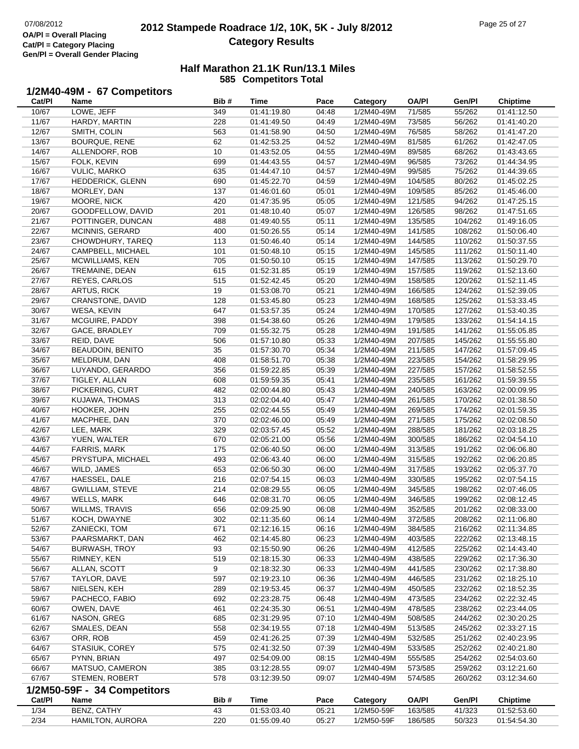## **2012 Stampede Roadrace 1/2, 10K, 5K - July 8/2012** 07/08/2012 Page 25 of 27 **Category Results**

|                | 1/2M40-49M - 67 Competitors                  |            |                            |                |                          |                    |                    |                            |
|----------------|----------------------------------------------|------------|----------------------------|----------------|--------------------------|--------------------|--------------------|----------------------------|
| Cat/PI         | <b>Name</b>                                  | Bib#       | <b>Time</b>                | Pace           | Category                 | <b>OA/PI</b>       | Gen/Pl             | <b>Chiptime</b>            |
| 10/67          | LOWE, JEFF                                   | 349        | 01:41:19.80                | 04:48          | 1/2M40-49M               | 71/585             | 55/262             | 01:41:12.50                |
| 11/67          | HARDY, MARTIN                                | 228        | 01:41:49.50                | 04:49          | 1/2M40-49M               | 73/585             | 56/262             | 01:41:40.20                |
| 12/67          | SMITH, COLIN                                 | 563        | 01:41:58.90                | 04:50          | 1/2M40-49M               | 76/585             | 58/262             | 01:41:47.20                |
| 13/67          | BOURQUE, RENE                                | 62         | 01:42:53.25                | 04:52          | 1/2M40-49M               | 81/585             | 61/262             | 01:42:47.05                |
| 14/67          | ALLENDORF, ROB                               | 10         | 01:43:52.05                | 04:55          | 1/2M40-49M               | 89/585             | 68/262             | 01:43:43.65                |
| 15/67          | FOLK, KEVIN                                  | 699        | 01:44:43.55                | 04:57          | 1/2M40-49M               | 96/585             | 73/262             | 01:44:34.95                |
| 16/67          | <b>VULIC, MARKO</b>                          | 635        | 01:44:47.10                | 04:57          | 1/2M40-49M               | 99/585             | 75/262             | 01:44:39.65                |
| 17/67          | HEDDERICK, GLENN                             | 690        | 01:45:22.70                | 04:59          | 1/2M40-49M               | 104/585            | 80/262             | 01:45:02.25                |
| 18/67          | MORLEY, DAN                                  | 137        | 01:46:01.60                | 05:01          | 1/2M40-49M               | 109/585            | 85/262             | 01:45:46.00                |
| 19/67          | MOORE, NICK                                  | 420        | 01:47:35.95                | 05:05          | 1/2M40-49M               | 121/585            | 94/262             | 01:47:25.15                |
| 20/67          | GOODFELLOW, DAVID                            | 201        | 01:48:10.40                | 05:07          | 1/2M40-49M               | 126/585            | 98/262             | 01:47:51.65                |
| 21/67          | POTTINGER, DUNCAN                            | 488        | 01:49:40.55                | 05:11          | 1/2M40-49M               | 135/585            | 104/262            | 01:49:16.05                |
| 22/67          | MCINNIS, GERARD                              | 400        | 01:50:26.55                | 05:14          | 1/2M40-49M               | 141/585            | 108/262            | 01:50:06.40                |
| 23/67<br>24/67 | CHOWDHURY, TAREQ<br>CAMPBELL, MICHAEL        | 113<br>101 | 01:50:46.40<br>01:50:48.10 | 05:14<br>05:15 | 1/2M40-49M<br>1/2M40-49M | 144/585<br>145/585 | 110/262<br>111/262 | 01:50:37.55<br>01:50:11.40 |
| 25/67          | MCWILLIAMS, KEN                              | 705        | 01:50:50.10                | 05:15          | 1/2M40-49M               | 147/585            | 113/262            | 01:50:29.70                |
| 26/67          | TREMAINE, DEAN                               | 615        | 01:52:31.85                | 05:19          | 1/2M40-49M               | 157/585            | 119/262            | 01:52:13.60                |
| 27/67          | REYES, CARLOS                                | 515        | 01:52:42.45                | 05:20          | 1/2M40-49M               | 158/585            | 120/262            | 01:52:11.45                |
| 28/67          | <b>ARTUS, RICK</b>                           | 19         | 01:53:08.70                | 05:21          | 1/2M40-49M               | 166/585            | 124/262            | 01:52:39.05                |
| 29/67          | CRANSTONE, DAVID                             | 128        | 01:53:45.80                | 05:23          | 1/2M40-49M               | 168/585            | 125/262            | 01:53:33.45                |
| 30/67          | WESA, KEVIN                                  | 647        | 01:53:57.35                | 05:24          | 1/2M40-49M               | 170/585            | 127/262            | 01:53:40.35                |
| 31/67          | MCGUIRE, PADDY                               | 398        | 01:54:38.60                | 05:26          | 1/2M40-49M               | 179/585            | 133/262            | 01:54:14.15                |
| 32/67          | GACE, BRADLEY                                | 709        | 01:55:32.75                | 05:28          | 1/2M40-49M               | 191/585            | 141/262            | 01:55:05.85                |
| 33/67          | REID, DAVE                                   | 506        | 01:57:10.80                | 05:33          | 1/2M40-49M               | 207/585            | 145/262            | 01:55:55.80                |
| 34/67          | <b>BEAUDOIN, BENITO</b>                      | 35         | 01:57:30.70                | 05:34          | 1/2M40-49M               | 211/585            | 147/262            | 01:57:09.45                |
| 35/67          | MELDRUM, DAN                                 | 408        | 01:58:51.70                | 05:38          | 1/2M40-49M               | 223/585            | 154/262            | 01:58:29.95                |
| 36/67          | LUYANDO, GERARDO                             | 356        | 01:59:22.85                | 05:39          | 1/2M40-49M               | 227/585            | 157/262            | 01:58:52.55                |
| 37/67          | TIGLEY, ALLAN                                | 608        | 01:59:59.35                | 05:41          | 1/2M40-49M               | 235/585            | 161/262            | 01:59:39.55                |
| 38/67          | PICKERING, CURT                              | 482        | 02:00:44.80                | 05:43          | 1/2M40-49M               | 240/585            | 163/262            | 02:00:09.95                |
| 39/67          | KUJAWA, THOMAS                               | 313        | 02:02:04.40                | 05:47          | 1/2M40-49M               | 261/585            | 170/262            | 02:01:38.50                |
| 40/67          | HOOKER, JOHN                                 | 255        | 02:02:44.55                | 05:49          | 1/2M40-49M               | 269/585            | 174/262            | 02:01:59.35                |
| 41/67          | MACPHEE, DAN                                 | 370        | 02:02:46.00                | 05:49          | 1/2M40-49M               | 271/585            | 175/262            | 02:02:08.50                |
| 42/67          | LEE, MARK                                    | 329        | 02:03:57.45                | 05:52          | 1/2M40-49M               | 288/585            | 181/262            | 02:03:18.25                |
| 43/67          | YUEN, WALTER                                 | 670        | 02:05:21.00                | 05:56          | 1/2M40-49M               | 300/585            | 186/262            | 02:04:54.10                |
| 44/67          | FARRIS, MARK                                 | 175        | 02:06:40.50                | 06:00          | 1/2M40-49M               | 313/585            | 191/262            | 02:06:06.80                |
| 45/67          | PRYSTUPA, MICHAEL                            | 493        | 02:06:43.40                | 06:00          | 1/2M40-49M               | 315/585            | 192/262            | 02:06:20.85                |
| 46/67          | WILD, JAMES                                  | 653        | 02:06:50.30                | 06:00          | 1/2M40-49M               | 317/585            | 193/262            | 02:05:37.70                |
| 47/67          | HAESSEL, DALE                                | 216        | 02:07:54.15                | 06:03          | 1/2M40-49M               | 330/585            | 195/262            | 02:07:54.15                |
| 48/67<br>49/67 | <b>GWILLIAM, STEVE</b><br><b>WELLS, MARK</b> | 214<br>646 | 02:08:29.55<br>02:08:31.70 | 06:05<br>06:05 | 1/2M40-49M<br>1/2M40-49M | 345/585<br>346/585 | 198/262<br>199/262 | 02:07:46.05<br>02:08:12.45 |
| 50/67          | <b>WILLMS, TRAVIS</b>                        | 656        | 02:09:25.90                | 06:08          | 1/2M40-49M               | 352/585            | 201/262            | 02:08:33.00                |
| 51/67          | KOCH, DWAYNE                                 | 302        | 02:11:35.60                | 06:14          | 1/2M40-49M               | 372/585            | 208/262            | 02:11:06.80                |
| 52/67          | ZANIECKI, TOM                                | 671        | 02:12:16.15                | 06:16          | 1/2M40-49M               | 384/585            | 216/262            | 02:11:34.85                |
| 53/67          | PAARSMARKT, DAN                              | 462        | 02:14:45.80                | 06:23          | 1/2M40-49M               | 403/585            | 222/262            | 02:13:48.15                |
| 54/67          | <b>BURWASH, TROY</b>                         | 93         | 02:15:50.90                | 06:26          | 1/2M40-49M               | 412/585            | 225/262            | 02:14:43.40                |
| 55/67          | RIMNEY, KEN                                  | 519        | 02:18:15.30                | 06:33          | 1/2M40-49M               | 438/585            | 229/262            | 02:17:36.30                |
| 56/67          | ALLAN, SCOTT                                 | 9          | 02:18:32.30                | 06:33          | 1/2M40-49M               | 441/585            | 230/262            | 02:17:38.80                |
| 57/67          | TAYLOR, DAVE                                 | 597        | 02:19:23.10                | 06:36          | 1/2M40-49M               | 446/585            | 231/262            | 02:18:25.10                |
| 58/67          | NIELSEN, KEH                                 | 289        | 02:19:53.45                | 06:37          | 1/2M40-49M               | 450/585            | 232/262            | 02:18:52.35                |
| 59/67          | PACHECO, FABIO                               | 692        | 02:23:28.75                | 06:48          | 1/2M40-49M               | 473/585            | 234/262            | 02:22:32.45                |
| 60/67          | OWEN, DAVE                                   | 461        | 02:24:35.30                | 06:51          | 1/2M40-49M               | 478/585            | 238/262            | 02:23:44.05                |
| 61/67          | NASON, GREG                                  | 685        | 02:31:29.95                | 07:10          | 1/2M40-49M               | 508/585            | 244/262            | 02:30:20.25                |
| 62/67          | SMALES, DEAN                                 | 558        | 02:34:19.55                | 07:18          | 1/2M40-49M               | 513/585            | 245/262            | 02:33:27.15                |
| 63/67          | ORR, ROB                                     | 459        | 02:41:26.25                | 07:39          | 1/2M40-49M               | 532/585            | 251/262            | 02:40:23.95                |
| 64/67          | <b>STASIUK, COREY</b>                        | 575        | 02:41:32.50                | 07:39          | 1/2M40-49M               | 533/585            | 252/262            | 02:40:21.80                |
| 65/67          | PYNN, BRIAN                                  | 497        | 02:54:09.00                | 08:15          | 1/2M40-49M               | 555/585            | 254/262            | 02:54:03.60                |
| 66/67          | MATSUO, CAMERON                              | 385        | 03:12:28.55                | 09:07          | 1/2M40-49M               | 573/585            | 259/262            | 03:12:21.60                |
| 67/67          | STEMEN, ROBERT                               | 578        | 03:12:39.50                | 09:07          | 1/2M40-49M               | 574/585            | 260/262            | 03:12:34.60                |
|                | 1/2M50-59F - 34 Competitors                  |            |                            |                |                          |                    |                    |                            |
| Cat/PI         | Name                                         | Bib#       | <b>Time</b>                | Pace           | Category                 | <b>OA/PI</b>       | Gen/Pl             | <b>Chiptime</b>            |
| 1/34           | BENZ, CATHY                                  | 43         | 01:53:03.40                | 05:21          | 1/2M50-59F               | 163/585            | 41/323             | 01:52:53.60                |
| 2/34           | <b>HAMILTON, AURORA</b>                      | 220        | 01:55:09.40                | 05:27          | 1/2M50-59F               | 186/585            | 50/323             | 01:54:54.30                |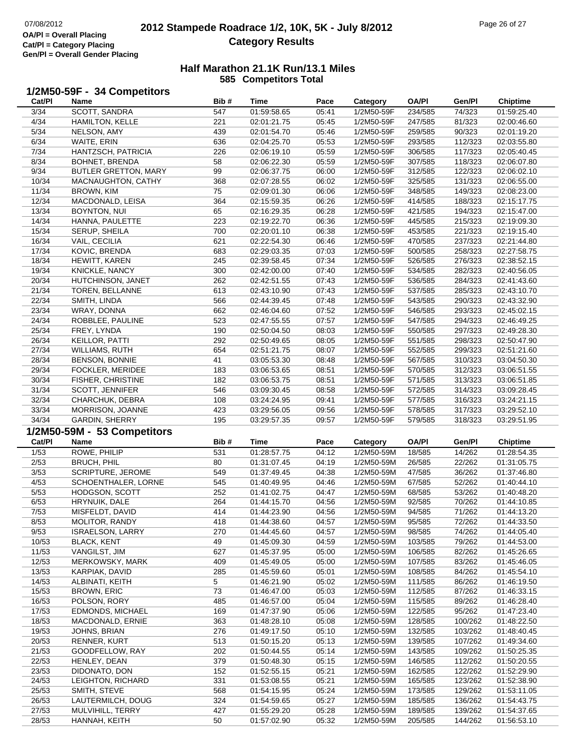## **2012 Stampede Roadrace 1/2, 10K, 5K - July 8/2012** 07/08/2012 Page 26 of 27 **Category Results**

#### **Half Marathon 21.1K Run/13.1 Miles585 Competitors Total**

# **1/2M50-59F - 34 Competitors Cat/Pl**

| Cat/PI         | Name                                    | Bib#      | Time                       | Pace           | Category                 | <b>OA/PI</b>       | Gen/Pl             | <b>Chiptime</b>            |
|----------------|-----------------------------------------|-----------|----------------------------|----------------|--------------------------|--------------------|--------------------|----------------------------|
| 3/34           | SCOTT, SANDRA                           | 547       | 01:59:58.65                | 05:41          | 1/2M50-59F               | 234/585            | 74/323             | 01:59:25.40                |
| 4/34           | HAMILTON, KELLE                         | 221       | 02:01:21.75                | 05:45          | 1/2M50-59F               | 247/585            | 81/323             | 02:00:46.60                |
| 5/34           | NELSON, AMY                             | 439       | 02:01:54.70                | 05:46          | 1/2M50-59F               | 259/585            | 90/323             | 02:01:19.20                |
| 6/34           | WAITE, ERIN                             | 636       | 02:04:25.70                | 05:53          | 1/2M50-59F               | 293/585            | 112/323            | 02:03:55.80                |
| 7/34           | HANTZSCH, PATRICIA                      | 226       | 02:06:19.10                | 05:59          | 1/2M50-59F               | 306/585            | 117/323            | 02:05:40.45                |
| 8/34           | BOHNET, BRENDA                          | 58        | 02:06:22.30                | 05:59          | 1/2M50-59F               | 307/585            | 118/323            | 02:06:07.80                |
| 9/34           | <b>BUTLER GRETTON, MARY</b>             | 99        | 02:06:37.75                | 06:00          | 1/2M50-59F               | 312/585            | 122/323            | 02:06:02.10                |
| 10/34          | MACNAUGHTON, CATHY                      | 368       | 02:07:28.55                | 06:02          | 1/2M50-59F               | 325/585            | 131/323            | 02:06:55.00                |
| 11/34          | <b>BROWN, KIM</b>                       | 75        | 02:09:01.30                | 06:06          | 1/2M50-59F               | 348/585            | 149/323            | 02:08:23.00                |
| 12/34          | MACDONALD, LEISA                        | 364       | 02:15:59.35                | 06:26          | 1/2M50-59F               | 414/585            | 188/323            | 02:15:17.75                |
| 13/34          | BOYNTON, NUI                            | 65        | 02:16:29.35                | 06:28          | 1/2M50-59F               | 421/585            | 194/323            | 02:15:47.00                |
| 14/34          | HANNA, PAULETTE                         | 223       | 02:19:22.70                | 06:36          | 1/2M50-59F               | 445/585            | 215/323            | 02:19:09.30                |
| 15/34          | SERUP, SHEILA                           | 700       | 02:20:01.10                | 06:38          | 1/2M50-59F               | 453/585            | 221/323            | 02:19:15.40                |
| 16/34          | VAIL, CECILIA                           | 621       | 02:22:54.30                | 06:46          | 1/2M50-59F               | 470/585            | 237/323            | 02:21:44.80                |
| 17/34          | KOVIC, BRENDA                           | 683       | 02:29:03.35                | 07:03          | 1/2M50-59F               | 500/585            | 258/323            | 02:27:58.75                |
| 18/34          | HEWITT, KAREN                           | 245       | 02:39:58.45                | 07:34          | 1/2M50-59F               | 526/585            | 276/323            | 02:38:52.15                |
| 19/34          | KNICKLE, NANCY                          | 300       | 02:42:00.00                | 07:40          | 1/2M50-59F               | 534/585            | 282/323            | 02:40:56.05                |
| 20/34          | HUTCHINSON, JANET                       | 262       | 02:42:51.55                | 07:43          | 1/2M50-59F               | 536/585            | 284/323            | 02:41:43.60                |
| 21/34          | TOREN, BELLANNE                         | 613       | 02:43:10.90                | 07:43          | 1/2M50-59F               | 537/585            | 285/323            | 02:43:10.70                |
| 22/34          | SMITH, LINDA                            | 566       | 02:44:39.45                | 07:48          | 1/2M50-59F               | 543/585            | 290/323            | 02:43:32.90                |
| 23/34          | WRAY, DONNA                             | 662       | 02:46:04.60                | 07:52          | 1/2M50-59F               | 546/585            | 293/323            | 02:45:02.15                |
| 24/34          | ROBBLEE, PAULINE                        | 523       | 02:47:55.55                | 07:57          | 1/2M50-59F               | 547/585            | 294/323            | 02:46:49.25                |
| 25/34          | FREY, LYNDA                             | 190       | 02:50:04.50                | 08:03          | 1/2M50-59F               | 550/585            | 297/323            | 02:49:28.30                |
| 26/34          |                                         | 292       | 02:50:49.65                | 08:05          | 1/2M50-59F               | 551/585            | 298/323            | 02:50:47.90                |
| 27/34          | KEILLOR, PATTI<br><b>WILLIAMS, RUTH</b> | 654       | 02:51:21.75                | 08:07          | 1/2M50-59F               | 552/585            | 299/323            | 02:51:21.60                |
| 28/34          | <b>BENSON, BONNIE</b>                   | 41        | 03:05:53.30                | 08:48          | 1/2M50-59F               | 567/585            | 310/323            | 03:04:50.30                |
| 29/34          | FOCKLER, MERIDEE                        | 183       | 03:06:53.65                | 08:51          | 1/2M50-59F               | 570/585            | 312/323            | 03:06:51.55                |
| 30/34          | <b>FISHER, CHRISTINE</b>                | 182       | 03:06:53.75                | 08:51          | 1/2M50-59F               | 571/585            | 313/323            | 03:06:51.85                |
| 31/34          | SCOTT, JENNIFER                         | 546       | 03:09:30.45                | 08:58          | 1/2M50-59F               | 572/585            | 314/323            | 03:09:28.45                |
| 32/34          | CHARCHUK, DEBRA                         | 108       | 03:24:24.95                | 09:41          | 1/2M50-59F               | 577/585            | 316/323            | 03:24:21.15                |
|                |                                         | 423       | 03:29:56.05                | 09:56          | 1/2M50-59F               | 578/585            | 317/323            | 03:29:52.10                |
|                |                                         |           |                            |                |                          |                    |                    |                            |
| 33/34          | MORRISON, JOANNE                        |           |                            |                |                          |                    |                    |                            |
| 34/34          | <b>GARDIN, SHERRY</b>                   | 195       | 03:29:57.35                | 09:57          | 1/2M50-59F               | 579/585            | 318/323            | 03:29:51.95                |
|                | 1/2M50-59M - 53 Competitors             |           |                            |                |                          |                    |                    |                            |
| Cat/PI         | Name                                    | Bib#      | Time                       | Pace           | Category                 | <b>OA/PI</b>       | Gen/Pl             | <b>Chiptime</b>            |
| 1/53           | ROWE, PHILIP                            | 531       | 01:28:57.75                | 04:12          | 1/2M50-59M               | 18/585             | 14/262             | 01:28:54.35                |
| 2/53           | <b>BRUCH, PHIL</b>                      | 80        | 01:31:07.45                | 04:19          | 1/2M50-59M               | 26/585             | 22/262             | 01:31:05.75                |
| 3/53           | SCRIPTURE, JEROME                       | 549       | 01:37:49.45                | 04:38          | 1/2M50-59M               | 47/585             | 36/262             | 01:37:46.80                |
| 4/53           | SCHOENTHALER, LORNE                     | 545       | 01:40:49.95                | 04:46          | 1/2M50-59M               | 67/585             | 52/262             | 01:40:44.10                |
| 5/53           | HODGSON, SCOTT                          | 252       | 01:41:02.75                | 04:47          | 1/2M50-59M               | 68/585             | 53/262             | 01:40:48.20                |
| 6/53           | HRYNUIK, DALE                           | 264       | 01:44:15.70                | 04:56          | 1/2M50-59M               | 92/585             | 70/262             | 01:44:10.85                |
| 7/53           | MISFELDT, DAVID                         | 414       | 01:44:23.90                | 04:56          | 1/2M50-59M               | 94/585             | 71/262             | 01:44:13.20                |
| 8/53           | MOLITOR, RANDY                          | 418       | 01:44:38.60                | 04:57          | 1/2M50-59M               | 95/585             | 72/262             | 01:44:33.50                |
| 9/53           | <b>ISRAELSON, LARRY</b>                 | 270       | 01:44:45.60                | 04:57          | 1/2M50-59M               | 98/585             | 74/262             | 01:44:05.40                |
| 10/53          | <b>BLACK, KENT</b>                      | 49        | 01:45:09.30                | 04:59          | 1/2M50-59M               | 103/585            | 79/262             | 01:44:53.00                |
| 11/53          | VANGILST, JIM                           | 627       | 01:45:37.95                | 05:00          | 1/2M50-59M               | 106/585            | 82/262             | 01:45:26.65                |
| 12/53          | MERKOWSKY, MARK                         | 409       | 01:45:49.05                | 05:00          | 1/2M50-59M               | 107/585            | 83/262             | 01:45:46.05                |
| 13/53          | KARPIAK, DAVID                          | 285       | 01:45:59.60                | 05:01          | 1/2M50-59M               | 108/585            | 84/262             | 01:45:54.10                |
| 14/53          | ALBINATI, KEITH                         | 5         | 01:46:21.90                | 05:02          | 1/2M50-59M               | 111/585            | 86/262             | 01:46:19.50                |
| 15/53          | <b>BROWN, ERIC</b>                      | 73        | 01:46:47.00                | 05:03          | 1/2M50-59M               | 112/585            | 87/262             | 01:46:33.15                |
| 16/53          | POLSON, RORY                            | 485       | 01:46:57.00                | 05:04          | 1/2M50-59M               | 115/585            | 89/262             | 01:46:28.40                |
| 17/53          | <b>EDMONDS, MICHAEL</b>                 | 169       | 01:47:37.90                | 05:06          | 1/2M50-59M               | 122/585            | 95/262             | 01:47:23.40                |
| 18/53          | MACDONALD, ERNIE                        | 363       | 01:48:28.10                | 05:08          | 1/2M50-59M               | 128/585            | 100/262            | 01:48:22.50                |
| 19/53          | JOHNS, BRIAN                            | 276       | 01:49:17.50                | 05:10          | 1/2M50-59M               | 132/585            | 103/262            | 01:48:40.45                |
| 20/53          | RENNER, KURT                            | 513       | 01:50:15.20                | 05:13          | 1/2M50-59M               | 139/585            | 107/262            | 01:49:34.60                |
| 21/53          | GOODFELLOW, RAY                         | 202       | 01:50:44.55                | 05:14          | 1/2M50-59M               | 143/585            | 109/262            | 01:50:25.35                |
| 22/53          | HENLEY, DEAN                            | 379       | 01:50:48.30                | 05:15          | 1/2M50-59M               | 146/585            | 112/262            | 01:50:20.55                |
| 23/53          | DIDONATO, DON                           | 152       | 01:52:55.15                | 05:21          | 1/2M50-59M               | 162/585            | 122/262            | 01:52:29.90                |
| 24/53          | LEIGHTON, RICHARD                       | 331       | 01:53:08.55                | 05:21          | 1/2M50-59M               | 165/585            | 123/262            | 01:52:38.90                |
| 25/53          | SMITH, STEVE                            | 568       | 01:54:15.95                | 05:24          | 1/2M50-59M               | 173/585            | 129/262            | 01:53:11.05                |
| 26/53          | LAUTERMILCH, DOUG                       | 324       | 01:54:59.65                | 05:27          | 1/2M50-59M               | 185/585            | 136/262            | 01:54:43.75                |
| 27/53<br>28/53 | MULVIHILL, TERRY<br>HANNAH, KEITH       | 427<br>50 | 01:55:29.20<br>01:57:02.90 | 05:28<br>05:32 | 1/2M50-59M<br>1/2M50-59M | 189/585<br>205/585 | 139/262<br>144/262 | 01:54:37.65<br>01:56:53.10 |